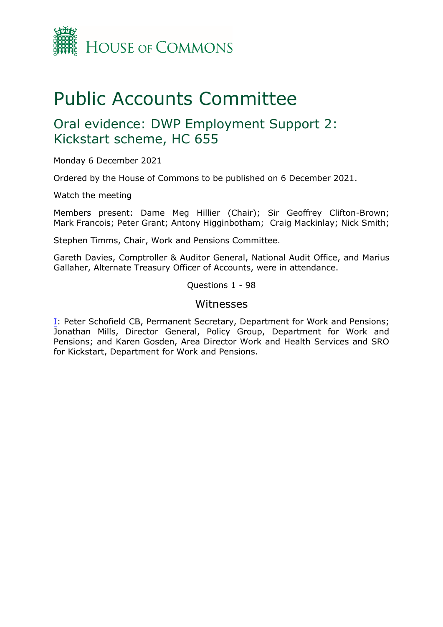

# Public Accounts Committee

# Oral evidence: DWP Employment Support 2: Kickstart scheme, HC 655

Monday 6 December 2021

Ordered by the House of Commons to be published on 6 December 2021.

Watch the meeting

Members present: Dame Meg Hillier (Chair); Sir Geoffrey Clifton-Brown; Mark Francois; Peter Grant; Antony Higginbotham; Craig Mackinlay; Nick Smith;

Stephen Timms, Chair, Work and Pensions Committee.

Gareth Davies, Comptroller & Auditor General, National Audit Office, and Marius Gallaher, Alternate Treasury Officer of Accounts, were in attendance.

Questions 1 - 98

### Witnesses

[I:](#page-1-0) Peter Schofield CB, Permanent Secretary, Department for Work and Pensions; Jonathan Mills, Director General, Policy Group, Department for Work and Pensions; and Karen Gosden, Area Director Work and Health Services and SRO for Kickstart, Department for Work and Pensions.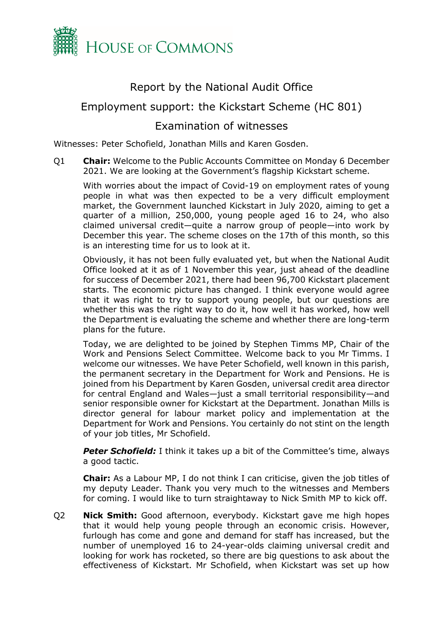

# Report by the National Audit Office

# <span id="page-1-0"></span>Employment support: the Kickstart Scheme (HC 801)

## Examination of witnesses

Witnesses: Peter Schofield, Jonathan Mills and Karen Gosden.

Q1 **Chair:** Welcome to the Public Accounts Committee on Monday 6 December 2021. We are looking at the Government's flagship Kickstart scheme.

With worries about the impact of Covid-19 on employment rates of young people in what was then expected to be a very difficult employment market, the Government launched Kickstart in July 2020, aiming to get a quarter of a million, 250,000, young people aged 16 to 24, who also claimed universal credit—quite a narrow group of people—into work by December this year. The scheme closes on the 17th of this month, so this is an interesting time for us to look at it.

Obviously, it has not been fully evaluated yet, but when the National Audit Office looked at it as of 1 November this year, just ahead of the deadline for success of December 2021, there had been 96,700 Kickstart placement starts. The economic picture has changed. I think everyone would agree that it was right to try to support young people, but our questions are whether this was the right way to do it, how well it has worked, how well the Department is evaluating the scheme and whether there are long-term plans for the future.

Today, we are delighted to be joined by Stephen Timms MP, Chair of the Work and Pensions Select Committee. Welcome back to you Mr Timms. I welcome our witnesses. We have Peter Schofield, well known in this parish, the permanent secretary in the Department for Work and Pensions. He is joined from his Department by Karen Gosden, universal credit area director for central England and Wales—just a small territorial responsibility—and senior responsible owner for Kickstart at the Department. Jonathan Mills is director general for labour market policy and implementation at the Department for Work and Pensions. You certainly do not stint on the length of your job titles, Mr Schofield.

**Peter Schofield:** I think it takes up a bit of the Committee's time, always a good tactic.

**Chair:** As a Labour MP, I do not think I can criticise, given the job titles of my deputy Leader. Thank you very much to the witnesses and Members for coming. I would like to turn straightaway to Nick Smith MP to kick off.

Q2 **Nick Smith:** Good afternoon, everybody. Kickstart gave me high hopes that it would help young people through an economic crisis. However, furlough has come and gone and demand for staff has increased, but the number of unemployed 16 to 24-year-olds claiming universal credit and looking for work has rocketed, so there are big questions to ask about the effectiveness of Kickstart. Mr Schofield, when Kickstart was set up how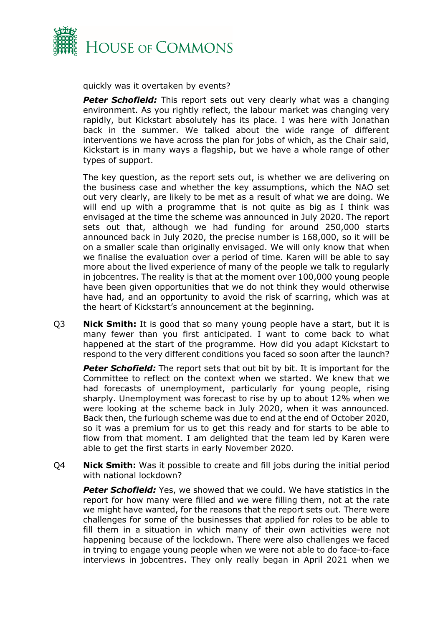

quickly was it overtaken by events?

**Peter Schofield:** This report sets out very clearly what was a changing environment. As you rightly reflect, the labour market was changing very rapidly, but Kickstart absolutely has its place. I was here with Jonathan back in the summer. We talked about the wide range of different interventions we have across the plan for jobs of which, as the Chair said, Kickstart is in many ways a flagship, but we have a whole range of other types of support.

The key question, as the report sets out, is whether we are delivering on the business case and whether the key assumptions, which the NAO set out very clearly, are likely to be met as a result of what we are doing. We will end up with a programme that is not quite as big as I think was envisaged at the time the scheme was announced in July 2020. The report sets out that, although we had funding for around 250,000 starts announced back in July 2020, the precise number is 168,000, so it will be on a smaller scale than originally envisaged. We will only know that when we finalise the evaluation over a period of time. Karen will be able to say more about the lived experience of many of the people we talk to regularly in jobcentres. The reality is that at the moment over 100,000 young people have been given opportunities that we do not think they would otherwise have had, and an opportunity to avoid the risk of scarring, which was at the heart of Kickstart's announcement at the beginning.

Q3 **Nick Smith:** It is good that so many young people have a start, but it is many fewer than you first anticipated. I want to come back to what happened at the start of the programme. How did you adapt Kickstart to respond to the very different conditions you faced so soon after the launch?

**Peter Schofield:** The report sets that out bit by bit. It is important for the Committee to reflect on the context when we started. We knew that we had forecasts of unemployment, particularly for young people, rising sharply. Unemployment was forecast to rise by up to about 12% when we were looking at the scheme back in July 2020, when it was announced. Back then, the furlough scheme was due to end at the end of October 2020, so it was a premium for us to get this ready and for starts to be able to flow from that moment. I am delighted that the team led by Karen were able to get the first starts in early November 2020.

Q4 **Nick Smith:** Was it possible to create and fill jobs during the initial period with national lockdown?

**Peter Schofield:** Yes, we showed that we could. We have statistics in the report for how many were filled and we were filling them, not at the rate we might have wanted, for the reasons that the report sets out. There were challenges for some of the businesses that applied for roles to be able to fill them in a situation in which many of their own activities were not happening because of the lockdown. There were also challenges we faced in trying to engage young people when we were not able to do face-to-face interviews in jobcentres. They only really began in April 2021 when we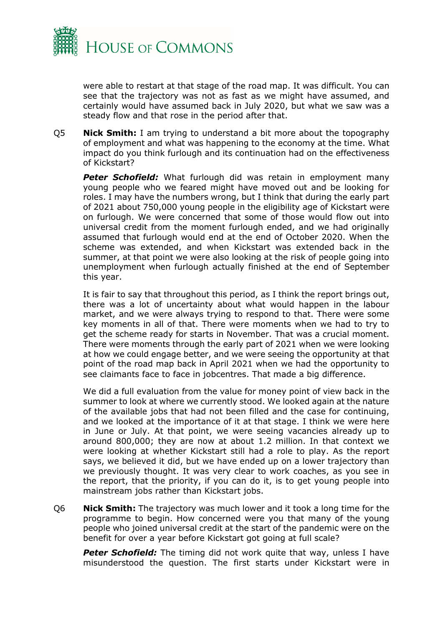

were able to restart at that stage of the road map. It was difficult. You can see that the trajectory was not as fast as we might have assumed, and certainly would have assumed back in July 2020, but what we saw was a steady flow and that rose in the period after that.

Q5 **Nick Smith:** I am trying to understand a bit more about the topography of employment and what was happening to the economy at the time. What impact do you think furlough and its continuation had on the effectiveness of Kickstart?

*Peter Schofield:* What furlough did was retain in employment many young people who we feared might have moved out and be looking for roles. I may have the numbers wrong, but I think that during the early part of 2021 about 750,000 young people in the eligibility age of Kickstart were on furlough. We were concerned that some of those would flow out into universal credit from the moment furlough ended, and we had originally assumed that furlough would end at the end of October 2020. When the scheme was extended, and when Kickstart was extended back in the summer, at that point we were also looking at the risk of people going into unemployment when furlough actually finished at the end of September this year.

It is fair to say that throughout this period, as I think the report brings out, there was a lot of uncertainty about what would happen in the labour market, and we were always trying to respond to that. There were some key moments in all of that. There were moments when we had to try to get the scheme ready for starts in November. That was a crucial moment. There were moments through the early part of 2021 when we were looking at how we could engage better, and we were seeing the opportunity at that point of the road map back in April 2021 when we had the opportunity to see claimants face to face in jobcentres. That made a big difference.

We did a full evaluation from the value for money point of view back in the summer to look at where we currently stood. We looked again at the nature of the available jobs that had not been filled and the case for continuing, and we looked at the importance of it at that stage. I think we were here in June or July. At that point, we were seeing vacancies already up to around 800,000; they are now at about 1.2 million. In that context we were looking at whether Kickstart still had a role to play. As the report says, we believed it did, but we have ended up on a lower trajectory than we previously thought. It was very clear to work coaches, as you see in the report, that the priority, if you can do it, is to get young people into mainstream jobs rather than Kickstart jobs.

Q6 **Nick Smith:** The trajectory was much lower and it took a long time for the programme to begin. How concerned were you that many of the young people who joined universal credit at the start of the pandemic were on the benefit for over a year before Kickstart got going at full scale?

**Peter Schofield:** The timing did not work quite that way, unless I have misunderstood the question. The first starts under Kickstart were in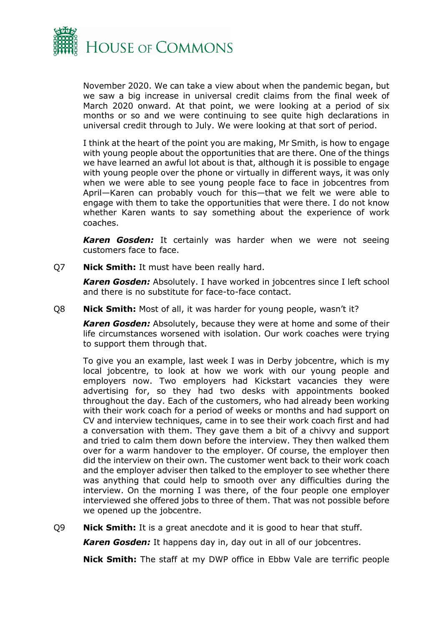

November 2020. We can take a view about when the pandemic began, but we saw a big increase in universal credit claims from the final week of March 2020 onward. At that point, we were looking at a period of six months or so and we were continuing to see quite high declarations in universal credit through to July. We were looking at that sort of period.

I think at the heart of the point you are making, Mr Smith, is how to engage with young people about the opportunities that are there. One of the things we have learned an awful lot about is that, although it is possible to engage with young people over the phone or virtually in different ways, it was only when we were able to see young people face to face in jobcentres from April—Karen can probably vouch for this—that we felt we were able to engage with them to take the opportunities that were there. I do not know whether Karen wants to say something about the experience of work coaches.

*Karen Gosden:* It certainly was harder when we were not seeing customers face to face.

Q7 **Nick Smith:** It must have been really hard.

*Karen Gosden:* Absolutely. I have worked in jobcentres since I left school and there is no substitute for face-to-face contact.

Q8 **Nick Smith:** Most of all, it was harder for young people, wasn't it?

*Karen Gosden:* Absolutely, because they were at home and some of their life circumstances worsened with isolation. Our work coaches were trying to support them through that.

To give you an example, last week I was in Derby jobcentre, which is my local jobcentre, to look at how we work with our young people and employers now. Two employers had Kickstart vacancies they were advertising for, so they had two desks with appointments booked throughout the day. Each of the customers, who had already been working with their work coach for a period of weeks or months and had support on CV and interview techniques, came in to see their work coach first and had a conversation with them. They gave them a bit of a chivvy and support and tried to calm them down before the interview. They then walked them over for a warm handover to the employer. Of course, the employer then did the interview on their own. The customer went back to their work coach and the employer adviser then talked to the employer to see whether there was anything that could help to smooth over any difficulties during the interview. On the morning I was there, of the four people one employer interviewed she offered jobs to three of them. That was not possible before we opened up the jobcentre.

Q9 **Nick Smith:** It is a great anecdote and it is good to hear that stuff.

*Karen Gosden:* It happens day in, day out in all of our jobcentres.

**Nick Smith:** The staff at my DWP office in Ebbw Vale are terrific people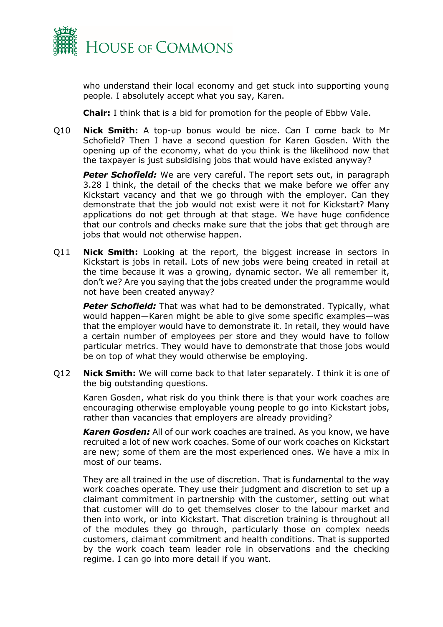

who understand their local economy and get stuck into supporting young people. I absolutely accept what you say, Karen.

**Chair:** I think that is a bid for promotion for the people of Ebbw Vale.

Q10 **Nick Smith:** A top-up bonus would be nice. Can I come back to Mr Schofield? Then I have a second question for Karen Gosden. With the opening up of the economy, what do you think is the likelihood now that the taxpayer is just subsidising jobs that would have existed anyway?

**Peter Schofield:** We are very careful. The report sets out, in paragraph 3.28 I think, the detail of the checks that we make before we offer any Kickstart vacancy and that we go through with the employer. Can they demonstrate that the job would not exist were it not for Kickstart? Many applications do not get through at that stage. We have huge confidence that our controls and checks make sure that the jobs that get through are jobs that would not otherwise happen.

Q11 **Nick Smith:** Looking at the report, the biggest increase in sectors in Kickstart is jobs in retail. Lots of new jobs were being created in retail at the time because it was a growing, dynamic sector. We all remember it, don't we? Are you saying that the jobs created under the programme would not have been created anyway?

*Peter Schofield:* That was what had to be demonstrated. Typically, what would happen—Karen might be able to give some specific examples—was that the employer would have to demonstrate it. In retail, they would have a certain number of employees per store and they would have to follow particular metrics. They would have to demonstrate that those jobs would be on top of what they would otherwise be employing.

Q12 **Nick Smith:** We will come back to that later separately. I think it is one of the big outstanding questions.

Karen Gosden, what risk do you think there is that your work coaches are encouraging otherwise employable young people to go into Kickstart jobs, rather than vacancies that employers are already providing?

*Karen Gosden:* All of our work coaches are trained. As you know, we have recruited a lot of new work coaches. Some of our work coaches on Kickstart are new; some of them are the most experienced ones. We have a mix in most of our teams.

They are all trained in the use of discretion. That is fundamental to the way work coaches operate. They use their judgment and discretion to set up a claimant commitment in partnership with the customer, setting out what that customer will do to get themselves closer to the labour market and then into work, or into Kickstart. That discretion training is throughout all of the modules they go through, particularly those on complex needs customers, claimant commitment and health conditions. That is supported by the work coach team leader role in observations and the checking regime. I can go into more detail if you want.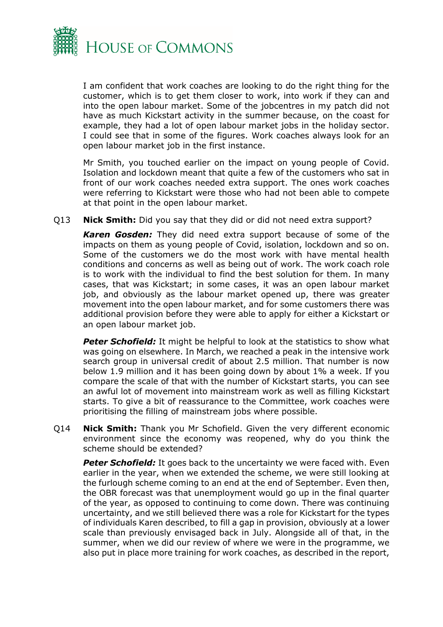

I am confident that work coaches are looking to do the right thing for the customer, which is to get them closer to work, into work if they can and into the open labour market. Some of the jobcentres in my patch did not have as much Kickstart activity in the summer because, on the coast for example, they had a lot of open labour market jobs in the holiday sector. I could see that in some of the figures. Work coaches always look for an open labour market job in the first instance.

Mr Smith, you touched earlier on the impact on young people of Covid. Isolation and lockdown meant that quite a few of the customers who sat in front of our work coaches needed extra support. The ones work coaches were referring to Kickstart were those who had not been able to compete at that point in the open labour market.

Q13 **Nick Smith:** Did you say that they did or did not need extra support?

*Karen Gosden:* They did need extra support because of some of the impacts on them as young people of Covid, isolation, lockdown and so on. Some of the customers we do the most work with have mental health conditions and concerns as well as being out of work. The work coach role is to work with the individual to find the best solution for them. In many cases, that was Kickstart; in some cases, it was an open labour market job, and obviously as the labour market opened up, there was greater movement into the open labour market, and for some customers there was additional provision before they were able to apply for either a Kickstart or an open labour market job.

**Peter Schofield:** It might be helpful to look at the statistics to show what was going on elsewhere. In March, we reached a peak in the intensive work search group in universal credit of about 2.5 million. That number is now below 1.9 million and it has been going down by about 1% a week. If you compare the scale of that with the number of Kickstart starts, you can see an awful lot of movement into mainstream work as well as filling Kickstart starts. To give a bit of reassurance to the Committee, work coaches were prioritising the filling of mainstream jobs where possible.

Q14 **Nick Smith:** Thank you Mr Schofield. Given the very different economic environment since the economy was reopened, why do you think the scheme should be extended?

**Peter Schofield:** It goes back to the uncertainty we were faced with. Even earlier in the year, when we extended the scheme, we were still looking at the furlough scheme coming to an end at the end of September. Even then, the OBR forecast was that unemployment would go up in the final quarter of the year, as opposed to continuing to come down. There was continuing uncertainty, and we still believed there was a role for Kickstart for the types of individuals Karen described, to fill a gap in provision, obviously at a lower scale than previously envisaged back in July. Alongside all of that, in the summer, when we did our review of where we were in the programme, we also put in place more training for work coaches, as described in the report,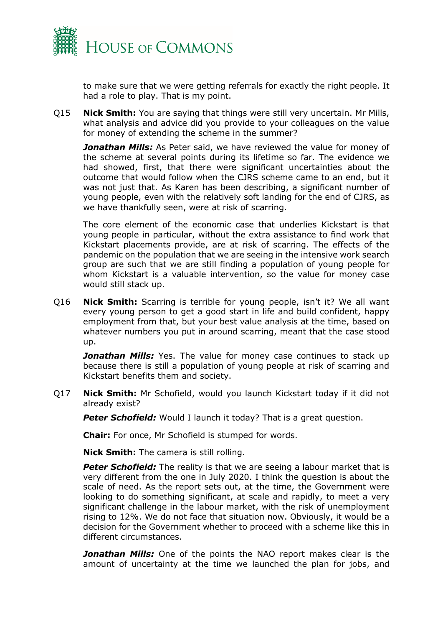

to make sure that we were getting referrals for exactly the right people. It had a role to play. That is my point.

Q15 **Nick Smith:** You are saying that things were still very uncertain. Mr Mills, what analysis and advice did you provide to your colleagues on the value for money of extending the scheme in the summer?

*Jonathan Mills:* As Peter said, we have reviewed the value for money of the scheme at several points during its lifetime so far. The evidence we had showed, first, that there were significant uncertainties about the outcome that would follow when the CJRS scheme came to an end, but it was not just that. As Karen has been describing, a significant number of young people, even with the relatively soft landing for the end of CJRS, as we have thankfully seen, were at risk of scarring.

The core element of the economic case that underlies Kickstart is that young people in particular, without the extra assistance to find work that Kickstart placements provide, are at risk of scarring. The effects of the pandemic on the population that we are seeing in the intensive work search group are such that we are still finding a population of young people for whom Kickstart is a valuable intervention, so the value for money case would still stack up.

Q16 **Nick Smith:** Scarring is terrible for young people, isn't it? We all want every young person to get a good start in life and build confident, happy employment from that, but your best value analysis at the time, based on whatever numbers you put in around scarring, meant that the case stood up.

*Jonathan Mills:* Yes. The value for money case continues to stack up because there is still a population of young people at risk of scarring and Kickstart benefits them and society.

Q17 **Nick Smith:** Mr Schofield, would you launch Kickstart today if it did not already exist?

**Peter Schofield:** Would I launch it today? That is a great question.

**Chair:** For once, Mr Schofield is stumped for words.

**Nick Smith:** The camera is still rolling.

**Peter Schofield:** The reality is that we are seeing a labour market that is very different from the one in July 2020. I think the question is about the scale of need. As the report sets out, at the time, the Government were looking to do something significant, at scale and rapidly, to meet a very significant challenge in the labour market, with the risk of unemployment rising to 12%. We do not face that situation now. Obviously, it would be a decision for the Government whether to proceed with a scheme like this in different circumstances.

**Jonathan Mills:** One of the points the NAO report makes clear is the amount of uncertainty at the time we launched the plan for jobs, and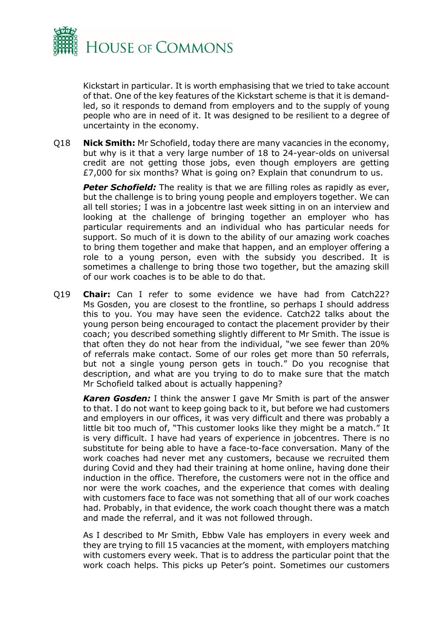

Kickstart in particular. It is worth emphasising that we tried to take account of that. One of the key features of the Kickstart scheme is that it is demandled, so it responds to demand from employers and to the supply of young people who are in need of it. It was designed to be resilient to a degree of uncertainty in the economy.

Q18 **Nick Smith:** Mr Schofield, today there are many vacancies in the economy, but why is it that a very large number of 18 to 24-year-olds on universal credit are not getting those jobs, even though employers are getting £7,000 for six months? What is going on? Explain that conundrum to us.

**Peter Schofield:** The reality is that we are filling roles as rapidly as ever, but the challenge is to bring young people and employers together. We can all tell stories; I was in a jobcentre last week sitting in on an interview and looking at the challenge of bringing together an employer who has particular requirements and an individual who has particular needs for support. So much of it is down to the ability of our amazing work coaches to bring them together and make that happen, and an employer offering a role to a young person, even with the subsidy you described. It is sometimes a challenge to bring those two together, but the amazing skill of our work coaches is to be able to do that.

Q19 **Chair:** Can I refer to some evidence we have had from Catch22? Ms Gosden, you are closest to the frontline, so perhaps I should address this to you. You may have seen the evidence. Catch22 talks about the young person being encouraged to contact the placement provider by their coach; you described something slightly different to Mr Smith. The issue is that often they do not hear from the individual, "we see fewer than 20% of referrals make contact. Some of our roles get more than 50 referrals, but not a single young person gets in touch." Do you recognise that description, and what are you trying to do to make sure that the match Mr Schofield talked about is actually happening?

*Karen Gosden:* I think the answer I gave Mr Smith is part of the answer to that. I do not want to keep going back to it, but before we had customers and employers in our offices, it was very difficult and there was probably a little bit too much of, "This customer looks like they might be a match." It is very difficult. I have had years of experience in jobcentres. There is no substitute for being able to have a face-to-face conversation. Many of the work coaches had never met any customers, because we recruited them during Covid and they had their training at home online, having done their induction in the office. Therefore, the customers were not in the office and nor were the work coaches, and the experience that comes with dealing with customers face to face was not something that all of our work coaches had. Probably, in that evidence, the work coach thought there was a match and made the referral, and it was not followed through.

As I described to Mr Smith, Ebbw Vale has employers in every week and they are trying to fill 15 vacancies at the moment, with employers matching with customers every week. That is to address the particular point that the work coach helps. This picks up Peter's point. Sometimes our customers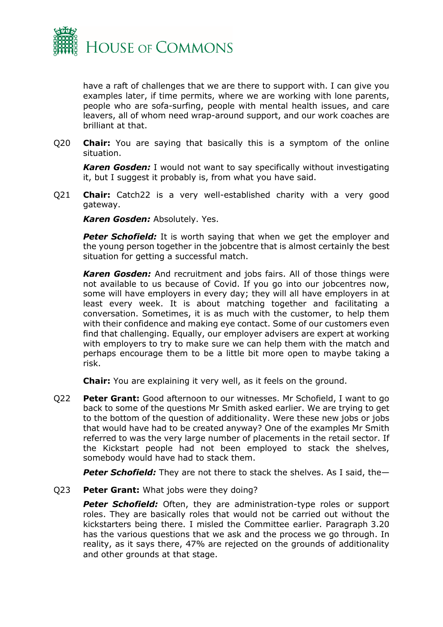

have a raft of challenges that we are there to support with. I can give you examples later, if time permits, where we are working with lone parents, people who are sofa-surfing, people with mental health issues, and care leavers, all of whom need wrap-around support, and our work coaches are brilliant at that.

Q20 **Chair:** You are saying that basically this is a symptom of the online situation.

*Karen Gosden:* I would not want to say specifically without investigating it, but I suggest it probably is, from what you have said.

Q21 **Chair:** Catch22 is a very well-established charity with a very good gateway.

*Karen Gosden:* Absolutely. Yes.

**Peter Schofield:** It is worth saying that when we get the employer and the young person together in the jobcentre that is almost certainly the best situation for getting a successful match.

*Karen Gosden:* And recruitment and jobs fairs. All of those things were not available to us because of Covid. If you go into our jobcentres now, some will have employers in every day; they will all have employers in at least every week. It is about matching together and facilitating a conversation. Sometimes, it is as much with the customer, to help them with their confidence and making eye contact. Some of our customers even find that challenging. Equally, our employer advisers are expert at working with employers to try to make sure we can help them with the match and perhaps encourage them to be a little bit more open to maybe taking a risk.

**Chair:** You are explaining it very well, as it feels on the ground.

Q22 **Peter Grant:** Good afternoon to our witnesses. Mr Schofield, I want to go back to some of the questions Mr Smith asked earlier. We are trying to get to the bottom of the question of additionality. Were these new jobs or jobs that would have had to be created anyway? One of the examples Mr Smith referred to was the very large number of placements in the retail sector. If the Kickstart people had not been employed to stack the shelves, somebody would have had to stack them.

*Peter Schofield:* They are not there to stack the shelves. As I said, the—

Q23 **Peter Grant:** What jobs were they doing?

**Peter Schofield:** Often, they are administration-type roles or support roles. They are basically roles that would not be carried out without the kickstarters being there. I misled the Committee earlier. Paragraph 3.20 has the various questions that we ask and the process we go through. In reality, as it says there, 47% are rejected on the grounds of additionality and other grounds at that stage.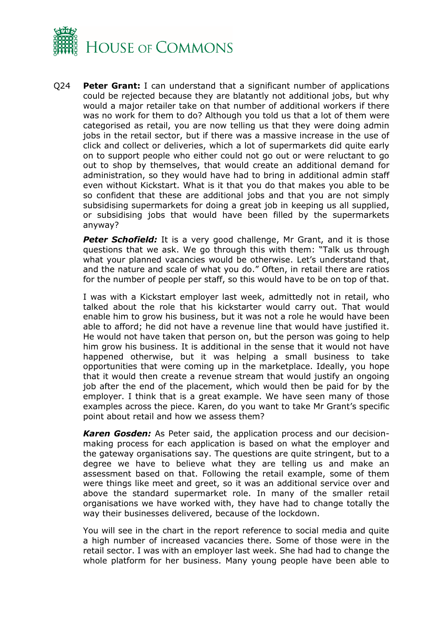

Q24 **Peter Grant:** I can understand that a significant number of applications could be rejected because they are blatantly not additional jobs, but why would a major retailer take on that number of additional workers if there was no work for them to do? Although you told us that a lot of them were categorised as retail, you are now telling us that they were doing admin jobs in the retail sector, but if there was a massive increase in the use of click and collect or deliveries, which a lot of supermarkets did quite early on to support people who either could not go out or were reluctant to go out to shop by themselves, that would create an additional demand for administration, so they would have had to bring in additional admin staff even without Kickstart. What is it that you do that makes you able to be so confident that these are additional jobs and that you are not simply subsidising supermarkets for doing a great job in keeping us all supplied, or subsidising jobs that would have been filled by the supermarkets anyway?

**Peter Schofield:** It is a very good challenge, Mr Grant, and it is those questions that we ask. We go through this with them: "Talk us through what your planned vacancies would be otherwise. Let's understand that, and the nature and scale of what you do." Often, in retail there are ratios for the number of people per staff, so this would have to be on top of that.

I was with a Kickstart employer last week, admittedly not in retail, who talked about the role that his kickstarter would carry out. That would enable him to grow his business, but it was not a role he would have been able to afford; he did not have a revenue line that would have justified it. He would not have taken that person on, but the person was going to help him grow his business. It is additional in the sense that it would not have happened otherwise, but it was helping a small business to take opportunities that were coming up in the marketplace. Ideally, you hope that it would then create a revenue stream that would justify an ongoing job after the end of the placement, which would then be paid for by the employer. I think that is a great example. We have seen many of those examples across the piece. Karen, do you want to take Mr Grant's specific point about retail and how we assess them?

*Karen Gosden:* As Peter said, the application process and our decisionmaking process for each application is based on what the employer and the gateway organisations say. The questions are quite stringent, but to a degree we have to believe what they are telling us and make an assessment based on that. Following the retail example, some of them were things like meet and greet, so it was an additional service over and above the standard supermarket role. In many of the smaller retail organisations we have worked with, they have had to change totally the way their businesses delivered, because of the lockdown.

You will see in the chart in the report reference to social media and quite a high number of increased vacancies there. Some of those were in the retail sector. I was with an employer last week. She had had to change the whole platform for her business. Many young people have been able to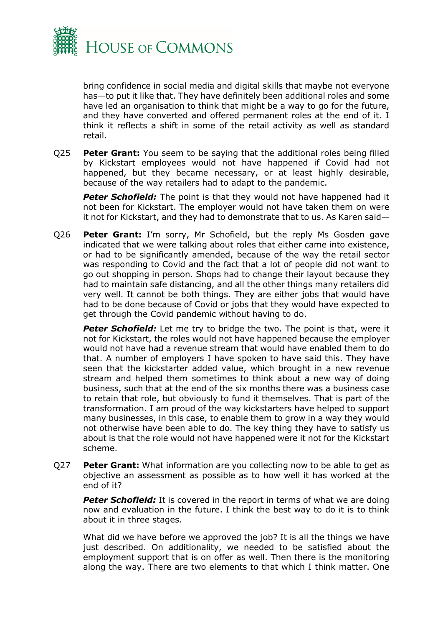

bring confidence in social media and digital skills that maybe not everyone has—to put it like that. They have definitely been additional roles and some have led an organisation to think that might be a way to go for the future, and they have converted and offered permanent roles at the end of it. I think it reflects a shift in some of the retail activity as well as standard retail.

Q25 **Peter Grant:** You seem to be saying that the additional roles being filled by Kickstart employees would not have happened if Covid had not happened, but they became necessary, or at least highly desirable, because of the way retailers had to adapt to the pandemic.

**Peter Schofield:** The point is that they would not have happened had it not been for Kickstart. The employer would not have taken them on were it not for Kickstart, and they had to demonstrate that to us. As Karen said—

Q26 **Peter Grant:** I'm sorry, Mr Schofield, but the reply Ms Gosden gave indicated that we were talking about roles that either came into existence, or had to be significantly amended, because of the way the retail sector was responding to Covid and the fact that a lot of people did not want to go out shopping in person. Shops had to change their layout because they had to maintain safe distancing, and all the other things many retailers did very well. It cannot be both things. They are either jobs that would have had to be done because of Covid or jobs that they would have expected to get through the Covid pandemic without having to do.

**Peter Schofield:** Let me try to bridge the two. The point is that, were it not for Kickstart, the roles would not have happened because the employer would not have had a revenue stream that would have enabled them to do that. A number of employers I have spoken to have said this. They have seen that the kickstarter added value, which brought in a new revenue stream and helped them sometimes to think about a new way of doing business, such that at the end of the six months there was a business case to retain that role, but obviously to fund it themselves. That is part of the transformation. I am proud of the way kickstarters have helped to support many businesses, in this case, to enable them to grow in a way they would not otherwise have been able to do. The key thing they have to satisfy us about is that the role would not have happened were it not for the Kickstart scheme.

Q27 **Peter Grant:** What information are you collecting now to be able to get as objective an assessment as possible as to how well it has worked at the end of it?

**Peter Schofield:** It is covered in the report in terms of what we are doing now and evaluation in the future. I think the best way to do it is to think about it in three stages.

What did we have before we approved the job? It is all the things we have just described. On additionality, we needed to be satisfied about the employment support that is on offer as well. Then there is the monitoring along the way. There are two elements to that which I think matter. One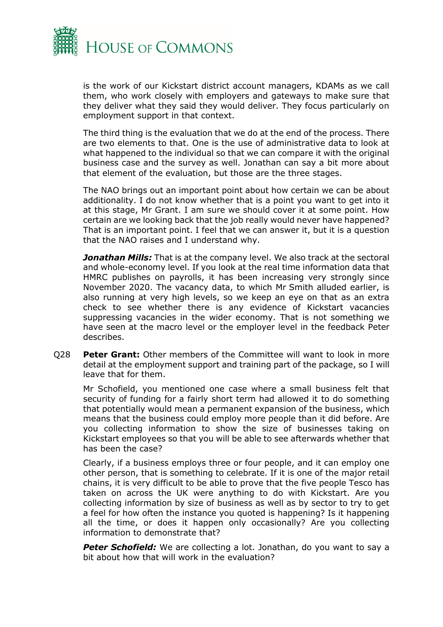

is the work of our Kickstart district account managers, KDAMs as we call them, who work closely with employers and gateways to make sure that they deliver what they said they would deliver. They focus particularly on employment support in that context.

The third thing is the evaluation that we do at the end of the process. There are two elements to that. One is the use of administrative data to look at what happened to the individual so that we can compare it with the original business case and the survey as well. Jonathan can say a bit more about that element of the evaluation, but those are the three stages.

The NAO brings out an important point about how certain we can be about additionality. I do not know whether that is a point you want to get into it at this stage, Mr Grant. I am sure we should cover it at some point. How certain are we looking back that the job really would never have happened? That is an important point. I feel that we can answer it, but it is a question that the NAO raises and I understand why.

**Jonathan Mills:** That is at the company level. We also track at the sectoral and whole-economy level. If you look at the real time information data that HMRC publishes on payrolls, it has been increasing very strongly since November 2020. The vacancy data, to which Mr Smith alluded earlier, is also running at very high levels, so we keep an eye on that as an extra check to see whether there is any evidence of Kickstart vacancies suppressing vacancies in the wider economy. That is not something we have seen at the macro level or the employer level in the feedback Peter describes.

Q28 **Peter Grant:** Other members of the Committee will want to look in more detail at the employment support and training part of the package, so I will leave that for them.

Mr Schofield, you mentioned one case where a small business felt that security of funding for a fairly short term had allowed it to do something that potentially would mean a permanent expansion of the business, which means that the business could employ more people than it did before. Are you collecting information to show the size of businesses taking on Kickstart employees so that you will be able to see afterwards whether that has been the case?

Clearly, if a business employs three or four people, and it can employ one other person, that is something to celebrate. If it is one of the major retail chains, it is very difficult to be able to prove that the five people Tesco has taken on across the UK were anything to do with Kickstart. Are you collecting information by size of business as well as by sector to try to get a feel for how often the instance you quoted is happening? Is it happening all the time, or does it happen only occasionally? Are you collecting information to demonstrate that?

**Peter Schofield:** We are collecting a lot. Jonathan, do you want to say a bit about how that will work in the evaluation?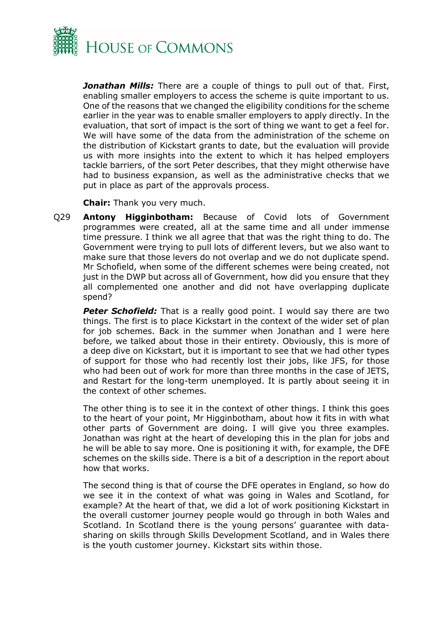

*Jonathan Mills:* There are a couple of things to pull out of that. First, enabling smaller employers to access the scheme is quite important to us. One of the reasons that we changed the eligibility conditions for the scheme earlier in the year was to enable smaller employers to apply directly. In the evaluation, that sort of impact is the sort of thing we want to get a feel for. We will have some of the data from the administration of the scheme on the distribution of Kickstart grants to date, but the evaluation will provide us with more insights into the extent to which it has helped employers tackle barriers, of the sort Peter describes, that they might otherwise have had to business expansion, as well as the administrative checks that we put in place as part of the approvals process.

**Chair:** Thank you very much.

Q29 **Antony Higginbotham:** Because of Covid lots of Government programmes were created, all at the same time and all under immense time pressure. I think we all agree that that was the right thing to do. The Government were trying to pull lots of different levers, but we also want to make sure that those levers do not overlap and we do not duplicate spend. Mr Schofield, when some of the different schemes were being created, not just in the DWP but across all of Government, how did you ensure that they all complemented one another and did not have overlapping duplicate spend?

**Peter Schofield:** That is a really good point. I would say there are two things. The first is to place Kickstart in the context of the wider set of plan for job schemes. Back in the summer when Jonathan and I were here before, we talked about those in their entirety. Obviously, this is more of a deep dive on Kickstart, but it is important to see that we had other types of support for those who had recently lost their jobs, like JFS, for those who had been out of work for more than three months in the case of JETS, and Restart for the long-term unemployed. It is partly about seeing it in the context of other schemes.

The other thing is to see it in the context of other things. I think this goes to the heart of your point, Mr Higginbotham, about how it fits in with what other parts of Government are doing. I will give you three examples. Jonathan was right at the heart of developing this in the plan for jobs and he will be able to say more. One is positioning it with, for example, the DFE schemes on the skills side. There is a bit of a description in the report about how that works.

The second thing is that of course the DFE operates in England, so how do we see it in the context of what was going in Wales and Scotland, for example? At the heart of that, we did a lot of work positioning Kickstart in the overall customer journey people would go through in both Wales and Scotland. In Scotland there is the young persons' guarantee with datasharing on skills through Skills Development Scotland, and in Wales there is the youth customer journey. Kickstart sits within those.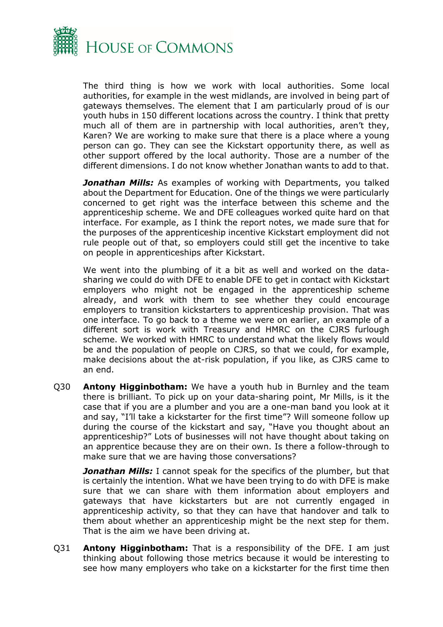

The third thing is how we work with local authorities. Some local authorities, for example in the west midlands, are involved in being part of gateways themselves. The element that I am particularly proud of is our youth hubs in 150 different locations across the country. I think that pretty much all of them are in partnership with local authorities, aren't they, Karen? We are working to make sure that there is a place where a young person can go. They can see the Kickstart opportunity there, as well as other support offered by the local authority. Those are a number of the different dimensions. I do not know whether Jonathan wants to add to that.

**Jonathan Mills:** As examples of working with Departments, you talked about the Department for Education. One of the things we were particularly concerned to get right was the interface between this scheme and the apprenticeship scheme. We and DFE colleagues worked quite hard on that interface. For example, as I think the report notes, we made sure that for the purposes of the apprenticeship incentive Kickstart employment did not rule people out of that, so employers could still get the incentive to take on people in apprenticeships after Kickstart.

We went into the plumbing of it a bit as well and worked on the datasharing we could do with DFE to enable DFE to get in contact with Kickstart employers who might not be engaged in the apprenticeship scheme already, and work with them to see whether they could encourage employers to transition kickstarters to apprenticeship provision. That was one interface. To go back to a theme we were on earlier, an example of a different sort is work with Treasury and HMRC on the CJRS furlough scheme. We worked with HMRC to understand what the likely flows would be and the population of people on CJRS, so that we could, for example, make decisions about the at-risk population, if you like, as CJRS came to an end.

Q30 **Antony Higginbotham:** We have a youth hub in Burnley and the team there is brilliant. To pick up on your data-sharing point, Mr Mills, is it the case that if you are a plumber and you are a one-man band you look at it and say, "I'll take a kickstarter for the first time"? Will someone follow up during the course of the kickstart and say, "Have you thought about an apprenticeship?" Lots of businesses will not have thought about taking on an apprentice because they are on their own. Is there a follow-through to make sure that we are having those conversations?

*Jonathan Mills:* I cannot speak for the specifics of the plumber, but that is certainly the intention. What we have been trying to do with DFE is make sure that we can share with them information about employers and gateways that have kickstarters but are not currently engaged in apprenticeship activity, so that they can have that handover and talk to them about whether an apprenticeship might be the next step for them. That is the aim we have been driving at.

Q31 **Antony Higginbotham:** That is a responsibility of the DFE. I am just thinking about following those metrics because it would be interesting to see how many employers who take on a kickstarter for the first time then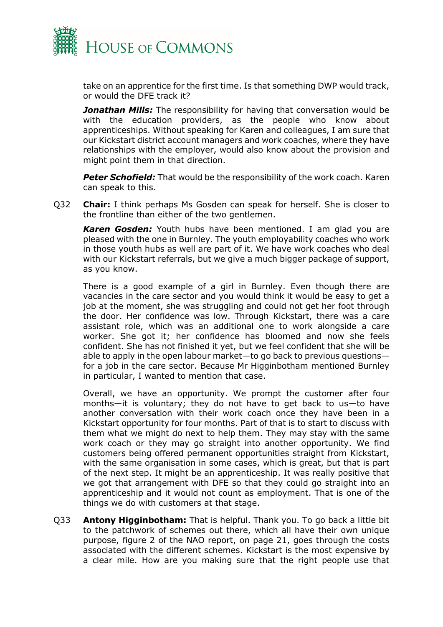

take on an apprentice for the first time. Is that something DWP would track, or would the DFE track it?

**Jonathan Mills:** The responsibility for having that conversation would be with the education providers, as the people who know about apprenticeships. Without speaking for Karen and colleagues, I am sure that our Kickstart district account managers and work coaches, where they have relationships with the employer, would also know about the provision and might point them in that direction.

*Peter Schofield:* That would be the responsibility of the work coach. Karen can speak to this.

Q32 **Chair:** I think perhaps Ms Gosden can speak for herself. She is closer to the frontline than either of the two gentlemen.

*Karen Gosden:* Youth hubs have been mentioned. I am glad you are pleased with the one in Burnley. The youth employability coaches who work in those youth hubs as well are part of it. We have work coaches who deal with our Kickstart referrals, but we give a much bigger package of support, as you know.

There is a good example of a girl in Burnley. Even though there are vacancies in the care sector and you would think it would be easy to get a job at the moment, she was struggling and could not get her foot through the door. Her confidence was low. Through Kickstart, there was a care assistant role, which was an additional one to work alongside a care worker. She got it; her confidence has bloomed and now she feels confident. She has not finished it yet, but we feel confident that she will be able to apply in the open labour market—to go back to previous questions for a job in the care sector. Because Mr Higginbotham mentioned Burnley in particular, I wanted to mention that case.

Overall, we have an opportunity. We prompt the customer after four months—it is voluntary; they do not have to get back to us—to have another conversation with their work coach once they have been in a Kickstart opportunity for four months. Part of that is to start to discuss with them what we might do next to help them. They may stay with the same work coach or they may go straight into another opportunity. We find customers being offered permanent opportunities straight from Kickstart, with the same organisation in some cases, which is great, but that is part of the next step. It might be an apprenticeship. It was really positive that we got that arrangement with DFE so that they could go straight into an apprenticeship and it would not count as employment. That is one of the things we do with customers at that stage.

Q33 **Antony Higginbotham:** That is helpful. Thank you. To go back a little bit to the patchwork of schemes out there, which all have their own unique purpose, figure 2 of the NAO report, on page 21, goes through the costs associated with the different schemes. Kickstart is the most expensive by a clear mile. How are you making sure that the right people use that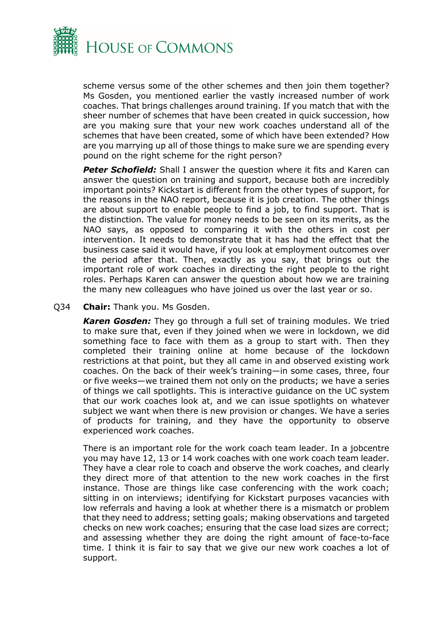

scheme versus some of the other schemes and then join them together? Ms Gosden, you mentioned earlier the vastly increased number of work coaches. That brings challenges around training. If you match that with the sheer number of schemes that have been created in quick succession, how are you making sure that your new work coaches understand all of the schemes that have been created, some of which have been extended? How are you marrying up all of those things to make sure we are spending every pound on the right scheme for the right person?

**Peter Schofield:** Shall I answer the question where it fits and Karen can answer the question on training and support, because both are incredibly important points? Kickstart is different from the other types of support, for the reasons in the NAO report, because it is job creation. The other things are about support to enable people to find a job, to find support. That is the distinction. The value for money needs to be seen on its merits, as the NAO says, as opposed to comparing it with the others in cost per intervention. It needs to demonstrate that it has had the effect that the business case said it would have, if you look at employment outcomes over the period after that. Then, exactly as you say, that brings out the important role of work coaches in directing the right people to the right roles. Perhaps Karen can answer the question about how we are training the many new colleagues who have joined us over the last year or so.

Q34 **Chair:** Thank you. Ms Gosden.

*Karen Gosden:* They go through a full set of training modules. We tried to make sure that, even if they joined when we were in lockdown, we did something face to face with them as a group to start with. Then they completed their training online at home because of the lockdown restrictions at that point, but they all came in and observed existing work coaches. On the back of their week's training—in some cases, three, four or five weeks—we trained them not only on the products; we have a series of things we call spotlights. This is interactive guidance on the UC system that our work coaches look at, and we can issue spotlights on whatever subject we want when there is new provision or changes. We have a series of products for training, and they have the opportunity to observe experienced work coaches.

There is an important role for the work coach team leader. In a jobcentre you may have 12, 13 or 14 work coaches with one work coach team leader. They have a clear role to coach and observe the work coaches, and clearly they direct more of that attention to the new work coaches in the first instance. Those are things like case conferencing with the work coach; sitting in on interviews; identifying for Kickstart purposes vacancies with low referrals and having a look at whether there is a mismatch or problem that they need to address; setting goals; making observations and targeted checks on new work coaches; ensuring that the case load sizes are correct; and assessing whether they are doing the right amount of face-to-face time. I think it is fair to say that we give our new work coaches a lot of support.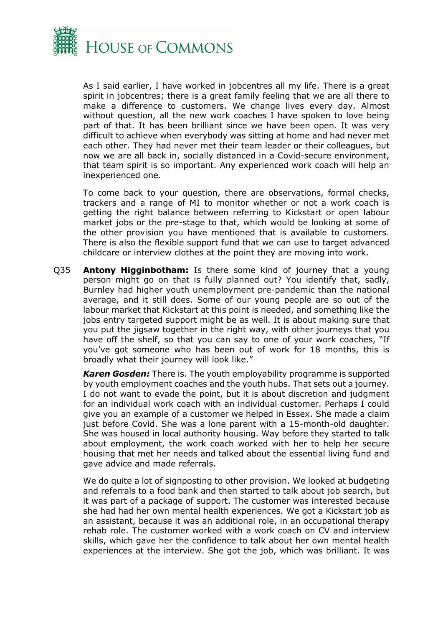

As I said earlier, I have worked in jobcentres all my life. There is a great spirit in jobcentres; there is a great family feeling that we are all there to make a difference to customers. We change lives every day. Almost without question, all the new work coaches I have spoken to love being part of that. It has been brilliant since we have been open. It was very difficult to achieve when everybody was sitting at home and had never met each other. They had never met their team leader or their colleagues, but now we are all back in, socially distanced in a Covid-secure environment, that team spirit is so important. Any experienced work coach will help an inexperienced one.

To come back to your question, there are observations, formal checks, trackers and a range of MI to monitor whether or not a work coach is getting the right balance between referring to Kickstart or open labour market jobs or the pre-stage to that, which would be looking at some of the other provision you have mentioned that is available to customers. There is also the flexible support fund that we can use to target advanced childcare or interview clothes at the point they are moving into work.

Q35 **Antony Higginbotham:** Is there some kind of journey that a young person might go on that is fully planned out? You identify that, sadly, Burnley had higher youth unemployment pre-pandemic than the national average, and it still does. Some of our young people are so out of the labour market that Kickstart at this point is needed, and something like the jobs entry targeted support might be as well. It is about making sure that you put the jigsaw together in the right way, with other journeys that you have off the shelf, so that you can say to one of your work coaches, "If you've got someone who has been out of work for 18 months, this is broadly what their journey will look like."

*Karen Gosden:* There is. The youth employability programme is supported by youth employment coaches and the youth hubs. That sets out a journey. I do not want to evade the point, but it is about discretion and judgment for an individual work coach with an individual customer. Perhaps I could give you an example of a customer we helped in Essex. She made a claim just before Covid. She was a lone parent with a 15-month-old daughter. She was housed in local authority housing. Way before they started to talk about employment, the work coach worked with her to help her secure housing that met her needs and talked about the essential living fund and gave advice and made referrals.

We do quite a lot of signposting to other provision. We looked at budgeting and referrals to a food bank and then started to talk about job search, but it was part of a package of support. The customer was interested because she had had her own mental health experiences. We got a Kickstart job as an assistant, because it was an additional role, in an occupational therapy rehab role. The customer worked with a work coach on CV and interview skills, which gave her the confidence to talk about her own mental health experiences at the interview. She got the job, which was brilliant. It was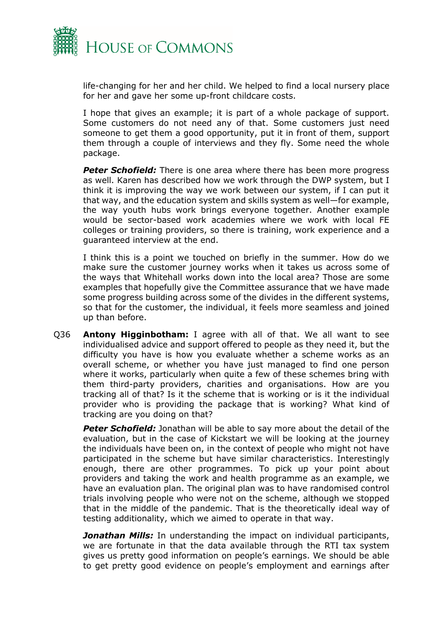

life-changing for her and her child. We helped to find a local nursery place for her and gave her some up-front childcare costs.

I hope that gives an example; it is part of a whole package of support. Some customers do not need any of that. Some customers just need someone to get them a good opportunity, put it in front of them, support them through a couple of interviews and they fly. Some need the whole package.

**Peter Schofield:** There is one area where there has been more progress as well. Karen has described how we work through the DWP system, but I think it is improving the way we work between our system, if I can put it that way, and the education system and skills system as well—for example, the way youth hubs work brings everyone together. Another example would be sector-based work academies where we work with local FE colleges or training providers, so there is training, work experience and a guaranteed interview at the end.

I think this is a point we touched on briefly in the summer. How do we make sure the customer journey works when it takes us across some of the ways that Whitehall works down into the local area? Those are some examples that hopefully give the Committee assurance that we have made some progress building across some of the divides in the different systems, so that for the customer, the individual, it feels more seamless and joined up than before.

Q36 **Antony Higginbotham:** I agree with all of that. We all want to see individualised advice and support offered to people as they need it, but the difficulty you have is how you evaluate whether a scheme works as an overall scheme, or whether you have just managed to find one person where it works, particularly when quite a few of these schemes bring with them third-party providers, charities and organisations. How are you tracking all of that? Is it the scheme that is working or is it the individual provider who is providing the package that is working? What kind of tracking are you doing on that?

*Peter Schofield:* Jonathan will be able to say more about the detail of the evaluation, but in the case of Kickstart we will be looking at the journey the individuals have been on, in the context of people who might not have participated in the scheme but have similar characteristics. Interestingly enough, there are other programmes. To pick up your point about providers and taking the work and health programme as an example, we have an evaluation plan. The original plan was to have randomised control trials involving people who were not on the scheme, although we stopped that in the middle of the pandemic. That is the theoretically ideal way of testing additionality, which we aimed to operate in that way.

**Jonathan Mills:** In understanding the impact on individual participants, we are fortunate in that the data available through the RTI tax system gives us pretty good information on people's earnings. We should be able to get pretty good evidence on people's employment and earnings after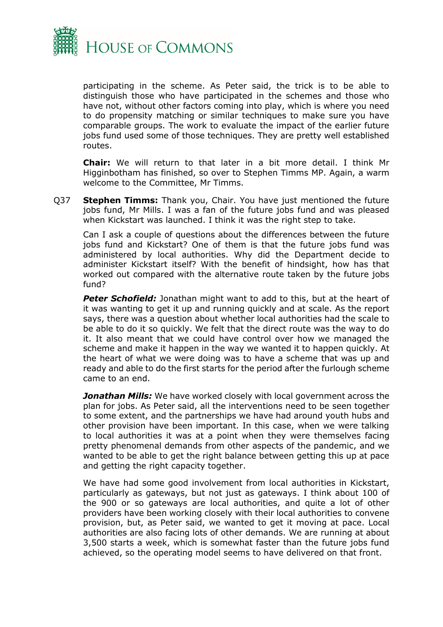

participating in the scheme. As Peter said, the trick is to be able to distinguish those who have participated in the schemes and those who have not, without other factors coming into play, which is where you need to do propensity matching or similar techniques to make sure you have comparable groups. The work to evaluate the impact of the earlier future jobs fund used some of those techniques. They are pretty well established routes.

**Chair:** We will return to that later in a bit more detail. I think Mr Higginbotham has finished, so over to Stephen Timms MP. Again, a warm welcome to the Committee, Mr Timms.

Q37 **Stephen Timms:** Thank you, Chair. You have just mentioned the future jobs fund, Mr Mills. I was a fan of the future jobs fund and was pleased when Kickstart was launched. I think it was the right step to take.

Can I ask a couple of questions about the differences between the future jobs fund and Kickstart? One of them is that the future jobs fund was administered by local authorities. Why did the Department decide to administer Kickstart itself? With the benefit of hindsight, how has that worked out compared with the alternative route taken by the future jobs fund?

*Peter Schofield:* Jonathan might want to add to this, but at the heart of it was wanting to get it up and running quickly and at scale. As the report says, there was a question about whether local authorities had the scale to be able to do it so quickly. We felt that the direct route was the way to do it. It also meant that we could have control over how we managed the scheme and make it happen in the way we wanted it to happen quickly. At the heart of what we were doing was to have a scheme that was up and ready and able to do the first starts for the period after the furlough scheme came to an end.

*Jonathan Mills:* We have worked closely with local government across the plan for jobs. As Peter said, all the interventions need to be seen together to some extent, and the partnerships we have had around youth hubs and other provision have been important. In this case, when we were talking to local authorities it was at a point when they were themselves facing pretty phenomenal demands from other aspects of the pandemic, and we wanted to be able to get the right balance between getting this up at pace and getting the right capacity together.

We have had some good involvement from local authorities in Kickstart, particularly as gateways, but not just as gateways. I think about 100 of the 900 or so gateways are local authorities, and quite a lot of other providers have been working closely with their local authorities to convene provision, but, as Peter said, we wanted to get it moving at pace. Local authorities are also facing lots of other demands. We are running at about 3,500 starts a week, which is somewhat faster than the future jobs fund achieved, so the operating model seems to have delivered on that front.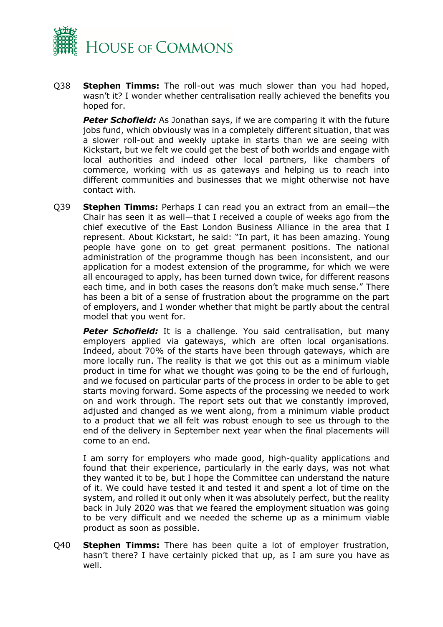

Q38 **Stephen Timms:** The roll-out was much slower than you had hoped, wasn't it? I wonder whether centralisation really achieved the benefits you hoped for.

**Peter Schofield:** As Jonathan says, if we are comparing it with the future jobs fund, which obviously was in a completely different situation, that was a slower roll-out and weekly uptake in starts than we are seeing with Kickstart, but we felt we could get the best of both worlds and engage with local authorities and indeed other local partners, like chambers of commerce, working with us as gateways and helping us to reach into different communities and businesses that we might otherwise not have contact with.

Q39 **Stephen Timms:** Perhaps I can read you an extract from an email—the Chair has seen it as well—that I received a couple of weeks ago from the chief executive of the East London Business Alliance in the area that I represent. About Kickstart, he said: "In part, it has been amazing. Young people have gone on to get great permanent positions. The national administration of the programme though has been inconsistent, and our application for a modest extension of the programme, for which we were all encouraged to apply, has been turned down twice, for different reasons each time, and in both cases the reasons don't make much sense." There has been a bit of a sense of frustration about the programme on the part of employers, and I wonder whether that might be partly about the central model that you went for.

**Peter Schofield:** It is a challenge. You said centralisation, but many employers applied via gateways, which are often local organisations. Indeed, about 70% of the starts have been through gateways, which are more locally run. The reality is that we got this out as a minimum viable product in time for what we thought was going to be the end of furlough, and we focused on particular parts of the process in order to be able to get starts moving forward. Some aspects of the processing we needed to work on and work through. The report sets out that we constantly improved, adjusted and changed as we went along, from a minimum viable product to a product that we all felt was robust enough to see us through to the end of the delivery in September next year when the final placements will come to an end.

I am sorry for employers who made good, high-quality applications and found that their experience, particularly in the early days, was not what they wanted it to be, but I hope the Committee can understand the nature of it. We could have tested it and tested it and spent a lot of time on the system, and rolled it out only when it was absolutely perfect, but the reality back in July 2020 was that we feared the employment situation was going to be very difficult and we needed the scheme up as a minimum viable product as soon as possible.

Q40 **Stephen Timms:** There has been quite a lot of employer frustration, hasn't there? I have certainly picked that up, as I am sure you have as well.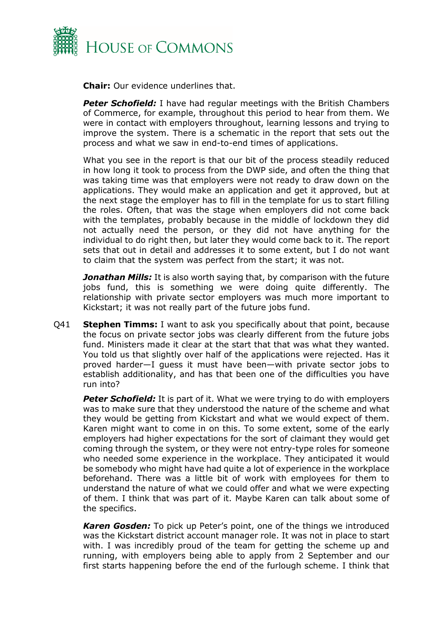

**Chair:** Our evidence underlines that.

**Peter Schofield:** I have had regular meetings with the British Chambers of Commerce, for example, throughout this period to hear from them. We were in contact with employers throughout, learning lessons and trying to improve the system. There is a schematic in the report that sets out the process and what we saw in end-to-end times of applications.

What you see in the report is that our bit of the process steadily reduced in how long it took to process from the DWP side, and often the thing that was taking time was that employers were not ready to draw down on the applications. They would make an application and get it approved, but at the next stage the employer has to fill in the template for us to start filling the roles. Often, that was the stage when employers did not come back with the templates, probably because in the middle of lockdown they did not actually need the person, or they did not have anything for the individual to do right then, but later they would come back to it. The report sets that out in detail and addresses it to some extent, but I do not want to claim that the system was perfect from the start; it was not.

**Jonathan Mills:** It is also worth saying that, by comparison with the future jobs fund, this is something we were doing quite differently. The relationship with private sector employers was much more important to Kickstart; it was not really part of the future jobs fund.

Q41 **Stephen Timms:** I want to ask you specifically about that point, because the focus on private sector jobs was clearly different from the future jobs fund. Ministers made it clear at the start that that was what they wanted. You told us that slightly over half of the applications were rejected. Has it proved harder—I guess it must have been—with private sector jobs to establish additionality, and has that been one of the difficulties you have run into?

**Peter Schofield:** It is part of it. What we were trying to do with employers was to make sure that they understood the nature of the scheme and what they would be getting from Kickstart and what we would expect of them. Karen might want to come in on this. To some extent, some of the early employers had higher expectations for the sort of claimant they would get coming through the system, or they were not entry-type roles for someone who needed some experience in the workplace. They anticipated it would be somebody who might have had quite a lot of experience in the workplace beforehand. There was a little bit of work with employees for them to understand the nature of what we could offer and what we were expecting of them. I think that was part of it. Maybe Karen can talk about some of the specifics.

*Karen Gosden:* To pick up Peter's point, one of the things we introduced was the Kickstart district account manager role. It was not in place to start with. I was incredibly proud of the team for getting the scheme up and running, with employers being able to apply from 2 September and our first starts happening before the end of the furlough scheme. I think that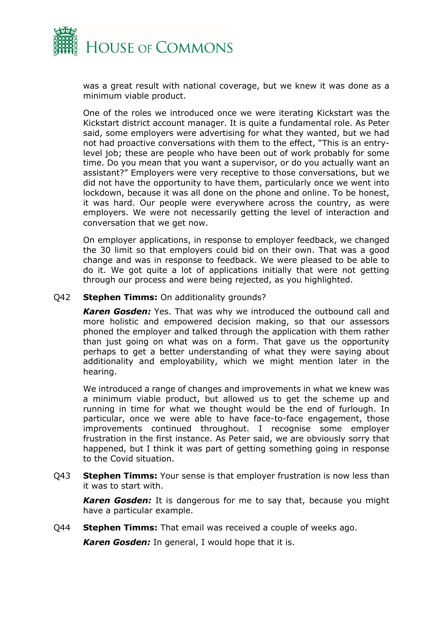

was a great result with national coverage, but we knew it was done as a minimum viable product.

One of the roles we introduced once we were iterating Kickstart was the Kickstart district account manager. It is quite a fundamental role. As Peter said, some employers were advertising for what they wanted, but we had not had proactive conversations with them to the effect, "This is an entrylevel job; these are people who have been out of work probably for some time. Do you mean that you want a supervisor, or do you actually want an assistant?" Employers were very receptive to those conversations, but we did not have the opportunity to have them, particularly once we went into lockdown, because it was all done on the phone and online. To be honest, it was hard. Our people were everywhere across the country, as were employers. We were not necessarily getting the level of interaction and conversation that we get now.

On employer applications, in response to employer feedback, we changed the 30 limit so that employers could bid on their own. That was a good change and was in response to feedback. We were pleased to be able to do it. We got quite a lot of applications initially that were not getting through our process and were being rejected, as you highlighted.

#### Q42 **Stephen Timms:** On additionality grounds?

*Karen Gosden:* Yes. That was why we introduced the outbound call and more holistic and empowered decision making, so that our assessors phoned the employer and talked through the application with them rather than just going on what was on a form. That gave us the opportunity perhaps to get a better understanding of what they were saying about additionality and employability, which we might mention later in the hearing.

We introduced a range of changes and improvements in what we knew was a minimum viable product, but allowed us to get the scheme up and running in time for what we thought would be the end of furlough. In particular, once we were able to have face-to-face engagement, those improvements continued throughout. I recognise some employer frustration in the first instance. As Peter said, we are obviously sorry that happened, but I think it was part of getting something going in response to the Covid situation.

Q43 **Stephen Timms:** Your sense is that employer frustration is now less than it was to start with.

*Karen Gosden:* It is dangerous for me to say that, because you might have a particular example.

Q44 **Stephen Timms:** That email was received a couple of weeks ago.

*Karen Gosden:* In general, I would hope that it is.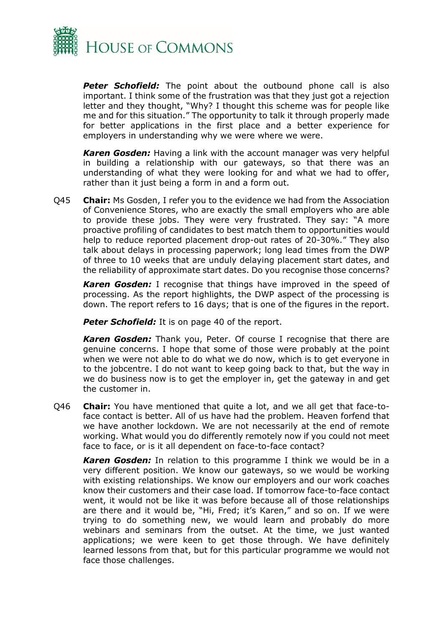

**Peter Schofield:** The point about the outbound phone call is also important. I think some of the frustration was that they just got a rejection letter and they thought, "Why? I thought this scheme was for people like me and for this situation." The opportunity to talk it through properly made for better applications in the first place and a better experience for employers in understanding why we were where we were.

*Karen Gosden:* Having a link with the account manager was very helpful in building a relationship with our gateways, so that there was an understanding of what they were looking for and what we had to offer, rather than it just being a form in and a form out.

Q45 **Chair:** Ms Gosden, I refer you to the evidence we had from the Association of Convenience Stores, who are exactly the small employers who are able to provide these jobs. They were very frustrated. They say: "A more proactive profiling of candidates to best match them to opportunities would help to reduce reported placement drop-out rates of 20-30%." They also talk about delays in processing paperwork; long lead times from the DWP of three to 10 weeks that are unduly delaying placement start dates, and the reliability of approximate start dates. Do you recognise those concerns?

*Karen Gosden:* I recognise that things have improved in the speed of processing. As the report highlights, the DWP aspect of the processing is down. The report refers to 16 days; that is one of the figures in the report.

**Peter Schofield:** It is on page 40 of the report.

*Karen Gosden:* Thank you, Peter. Of course I recognise that there are genuine concerns. I hope that some of those were probably at the point when we were not able to do what we do now, which is to get everyone in to the jobcentre. I do not want to keep going back to that, but the way in we do business now is to get the employer in, get the gateway in and get the customer in.

Q46 **Chair:** You have mentioned that quite a lot, and we all get that face-toface contact is better. All of us have had the problem. Heaven forfend that we have another lockdown. We are not necessarily at the end of remote working. What would you do differently remotely now if you could not meet face to face, or is it all dependent on face-to-face contact?

*Karen Gosden:* In relation to this programme I think we would be in a very different position. We know our gateways, so we would be working with existing relationships. We know our employers and our work coaches know their customers and their case load. If tomorrow face-to-face contact went, it would not be like it was before because all of those relationships are there and it would be, "Hi, Fred; it's Karen," and so on. If we were trying to do something new, we would learn and probably do more webinars and seminars from the outset. At the time, we just wanted applications; we were keen to get those through. We have definitely learned lessons from that, but for this particular programme we would not face those challenges.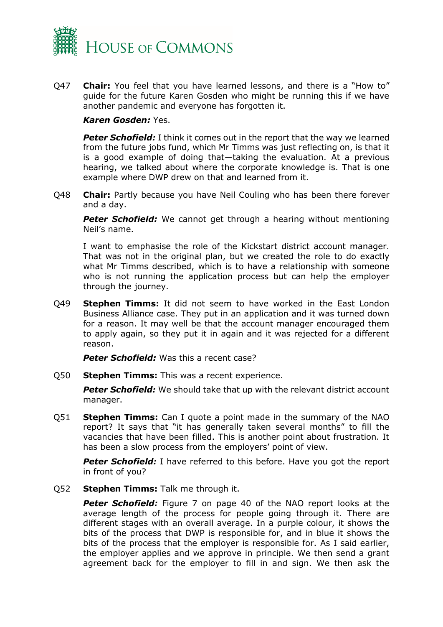

Q47 **Chair:** You feel that you have learned lessons, and there is a "How to" guide for the future Karen Gosden who might be running this if we have another pandemic and everyone has forgotten it.

#### *Karen Gosden:* Yes.

*Peter Schofield:* I think it comes out in the report that the way we learned from the future jobs fund, which Mr Timms was just reflecting on, is that it is a good example of doing that—taking the evaluation. At a previous hearing, we talked about where the corporate knowledge is. That is one example where DWP drew on that and learned from it.

Q48 **Chair:** Partly because you have Neil Couling who has been there forever and a day.

**Peter Schofield:** We cannot get through a hearing without mentioning Neil's name.

I want to emphasise the role of the Kickstart district account manager. That was not in the original plan, but we created the role to do exactly what Mr Timms described, which is to have a relationship with someone who is not running the application process but can help the employer through the journey.

Q49 **Stephen Timms:** It did not seem to have worked in the East London Business Alliance case. They put in an application and it was turned down for a reason. It may well be that the account manager encouraged them to apply again, so they put it in again and it was rejected for a different reason.

**Peter Schofield:** Was this a recent case?

Q50 **Stephen Timms:** This was a recent experience.

**Peter Schofield:** We should take that up with the relevant district account manager.

Q51 **Stephen Timms:** Can I quote a point made in the summary of the NAO report? It says that "it has generally taken several months" to fill the vacancies that have been filled. This is another point about frustration. It has been a slow process from the employers' point of view.

**Peter Schofield:** I have referred to this before. Have you got the report in front of you?

Q52 **Stephen Timms:** Talk me through it.

**Peter Schofield:** Figure 7 on page 40 of the NAO report looks at the average length of the process for people going through it. There are different stages with an overall average. In a purple colour, it shows the bits of the process that DWP is responsible for, and in blue it shows the bits of the process that the employer is responsible for. As I said earlier, the employer applies and we approve in principle. We then send a grant agreement back for the employer to fill in and sign. We then ask the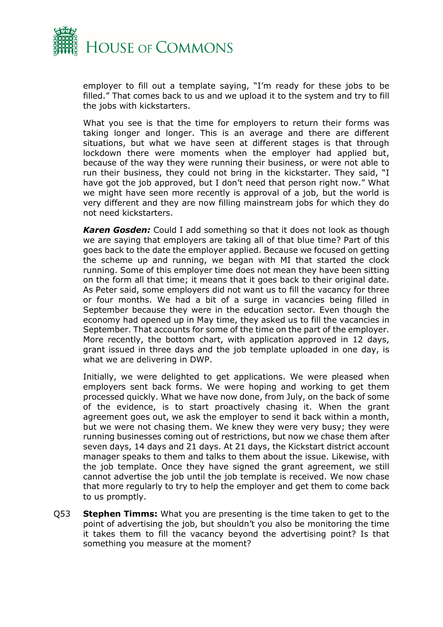

employer to fill out a template saying, "I'm ready for these jobs to be filled." That comes back to us and we upload it to the system and try to fill the jobs with kickstarters.

What you see is that the time for employers to return their forms was taking longer and longer. This is an average and there are different situations, but what we have seen at different stages is that through lockdown there were moments when the employer had applied but, because of the way they were running their business, or were not able to run their business, they could not bring in the kickstarter. They said, "I have got the job approved, but I don't need that person right now." What we might have seen more recently is approval of a job, but the world is very different and they are now filling mainstream jobs for which they do not need kickstarters.

*Karen Gosden:* Could I add something so that it does not look as though we are saying that employers are taking all of that blue time? Part of this goes back to the date the employer applied. Because we focused on getting the scheme up and running, we began with MI that started the clock running. Some of this employer time does not mean they have been sitting on the form all that time; it means that it goes back to their original date. As Peter said, some employers did not want us to fill the vacancy for three or four months. We had a bit of a surge in vacancies being filled in September because they were in the education sector. Even though the economy had opened up in May time, they asked us to fill the vacancies in September. That accounts for some of the time on the part of the employer. More recently, the bottom chart, with application approved in 12 days, grant issued in three days and the job template uploaded in one day, is what we are delivering in DWP.

Initially, we were delighted to get applications. We were pleased when employers sent back forms. We were hoping and working to get them processed quickly. What we have now done, from July, on the back of some of the evidence, is to start proactively chasing it. When the grant agreement goes out, we ask the employer to send it back within a month, but we were not chasing them. We knew they were very busy; they were running businesses coming out of restrictions, but now we chase them after seven days, 14 days and 21 days. At 21 days, the Kickstart district account manager speaks to them and talks to them about the issue. Likewise, with the job template. Once they have signed the grant agreement, we still cannot advertise the job until the job template is received. We now chase that more regularly to try to help the employer and get them to come back to us promptly.

Q53 **Stephen Timms:** What you are presenting is the time taken to get to the point of advertising the job, but shouldn't you also be monitoring the time it takes them to fill the vacancy beyond the advertising point? Is that something you measure at the moment?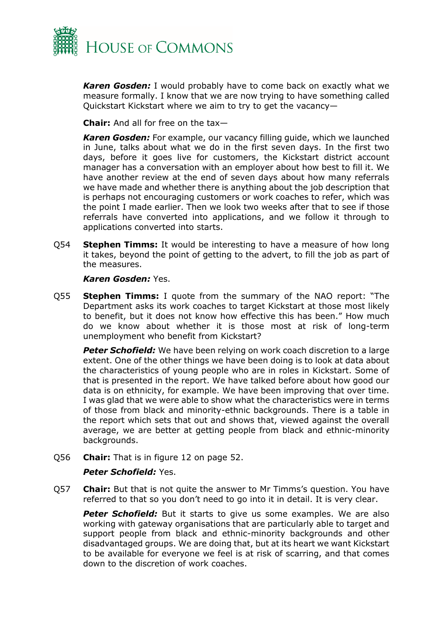

*Karen Gosden:* I would probably have to come back on exactly what we measure formally. I know that we are now trying to have something called Quickstart Kickstart where we aim to try to get the vacancy—

**Chair:** And all for free on the tax—

*Karen Gosden:* For example, our vacancy filling guide, which we launched in June, talks about what we do in the first seven days. In the first two days, before it goes live for customers, the Kickstart district account manager has a conversation with an employer about how best to fill it. We have another review at the end of seven days about how many referrals we have made and whether there is anything about the job description that is perhaps not encouraging customers or work coaches to refer, which was the point I made earlier. Then we look two weeks after that to see if those referrals have converted into applications, and we follow it through to applications converted into starts.

Q54 **Stephen Timms:** It would be interesting to have a measure of how long it takes, beyond the point of getting to the advert, to fill the job as part of the measures.

#### *Karen Gosden:* Yes.

Q55 **Stephen Timms:** I quote from the summary of the NAO report: "The Department asks its work coaches to target Kickstart at those most likely to benefit, but it does not know how effective this has been." How much do we know about whether it is those most at risk of long-term unemployment who benefit from Kickstart?

**Peter Schofield:** We have been relying on work coach discretion to a large extent. One of the other things we have been doing is to look at data about the characteristics of young people who are in roles in Kickstart. Some of that is presented in the report. We have talked before about how good our data is on ethnicity, for example. We have been improving that over time. I was glad that we were able to show what the characteristics were in terms of those from black and minority-ethnic backgrounds. There is a table in the report which sets that out and shows that, viewed against the overall average, we are better at getting people from black and ethnic-minority backgrounds.

Q56 **Chair:** That is in figure 12 on page 52.

#### *Peter Schofield:* Yes.

Q57 **Chair:** But that is not quite the answer to Mr Timms's question. You have referred to that so you don't need to go into it in detail. It is very clear.

**Peter Schofield:** But it starts to give us some examples. We are also working with gateway organisations that are particularly able to target and support people from black and ethnic-minority backgrounds and other disadvantaged groups. We are doing that, but at its heart we want Kickstart to be available for everyone we feel is at risk of scarring, and that comes down to the discretion of work coaches.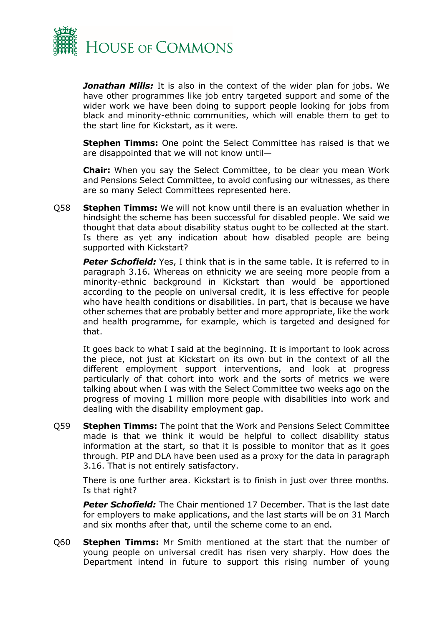

*Jonathan Mills:* It is also in the context of the wider plan for jobs. We have other programmes like job entry targeted support and some of the wider work we have been doing to support people looking for jobs from black and minority-ethnic communities, which will enable them to get to the start line for Kickstart, as it were.

**Stephen Timms:** One point the Select Committee has raised is that we are disappointed that we will not know until—

**Chair:** When you say the Select Committee, to be clear you mean Work and Pensions Select Committee, to avoid confusing our witnesses, as there are so many Select Committees represented here.

Q58 **Stephen Timms:** We will not know until there is an evaluation whether in hindsight the scheme has been successful for disabled people. We said we thought that data about disability status ought to be collected at the start. Is there as yet any indication about how disabled people are being supported with Kickstart?

**Peter Schofield:** Yes, I think that is in the same table. It is referred to in paragraph 3.16. Whereas on ethnicity we are seeing more people from a minority-ethnic background in Kickstart than would be apportioned according to the people on universal credit, it is less effective for people who have health conditions or disabilities. In part, that is because we have other schemes that are probably better and more appropriate, like the work and health programme, for example, which is targeted and designed for that.

It goes back to what I said at the beginning. It is important to look across the piece, not just at Kickstart on its own but in the context of all the different employment support interventions, and look at progress particularly of that cohort into work and the sorts of metrics we were talking about when I was with the Select Committee two weeks ago on the progress of moving 1 million more people with disabilities into work and dealing with the disability employment gap.

Q59 **Stephen Timms:** The point that the Work and Pensions Select Committee made is that we think it would be helpful to collect disability status information at the start, so that it is possible to monitor that as it goes through. PIP and DLA have been used as a proxy for the data in paragraph 3.16. That is not entirely satisfactory.

There is one further area. Kickstart is to finish in just over three months. Is that right?

*Peter Schofield:* The Chair mentioned 17 December. That is the last date for employers to make applications, and the last starts will be on 31 March and six months after that, until the scheme come to an end.

Q60 **Stephen Timms:** Mr Smith mentioned at the start that the number of young people on universal credit has risen very sharply. How does the Department intend in future to support this rising number of young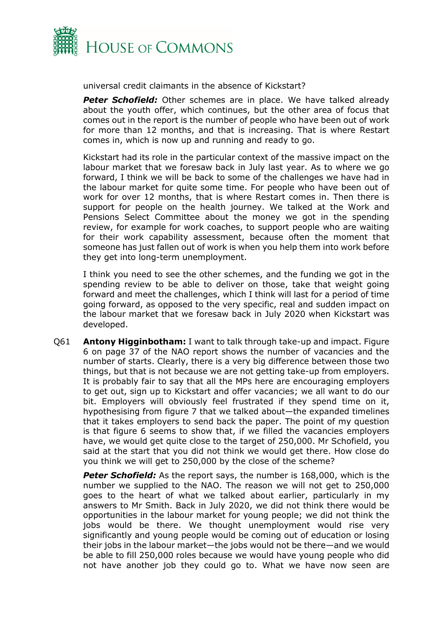

universal credit claimants in the absence of Kickstart?

**Peter Schofield:** Other schemes are in place. We have talked already about the youth offer, which continues, but the other area of focus that comes out in the report is the number of people who have been out of work for more than 12 months, and that is increasing. That is where Restart comes in, which is now up and running and ready to go.

Kickstart had its role in the particular context of the massive impact on the labour market that we foresaw back in July last year. As to where we go forward, I think we will be back to some of the challenges we have had in the labour market for quite some time. For people who have been out of work for over 12 months, that is where Restart comes in. Then there is support for people on the health journey. We talked at the Work and Pensions Select Committee about the money we got in the spending review, for example for work coaches, to support people who are waiting for their work capability assessment, because often the moment that someone has just fallen out of work is when you help them into work before they get into long-term unemployment.

I think you need to see the other schemes, and the funding we got in the spending review to be able to deliver on those, take that weight going forward and meet the challenges, which I think will last for a period of time going forward, as opposed to the very specific, real and sudden impact on the labour market that we foresaw back in July 2020 when Kickstart was developed.

Q61 **Antony Higginbotham:** I want to talk through take-up and impact. Figure 6 on page 37 of the NAO report shows the number of vacancies and the number of starts. Clearly, there is a very big difference between those two things, but that is not because we are not getting take-up from employers. It is probably fair to say that all the MPs here are encouraging employers to get out, sign up to Kickstart and offer vacancies; we all want to do our bit. Employers will obviously feel frustrated if they spend time on it, hypothesising from figure 7 that we talked about—the expanded timelines that it takes employers to send back the paper. The point of my question is that figure 6 seems to show that, if we filled the vacancies employers have, we would get quite close to the target of 250,000. Mr Schofield, you said at the start that you did not think we would get there. How close do you think we will get to 250,000 by the close of the scheme?

**Peter Schofield:** As the report says, the number is 168,000, which is the number we supplied to the NAO. The reason we will not get to 250,000 goes to the heart of what we talked about earlier, particularly in my answers to Mr Smith. Back in July 2020, we did not think there would be opportunities in the labour market for young people; we did not think the jobs would be there. We thought unemployment would rise very significantly and young people would be coming out of education or losing their jobs in the labour market—the jobs would not be there—and we would be able to fill 250,000 roles because we would have young people who did not have another job they could go to. What we have now seen are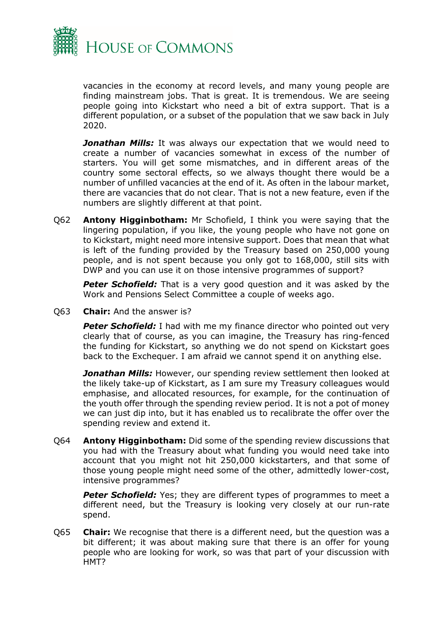

vacancies in the economy at record levels, and many young people are finding mainstream jobs. That is great. It is tremendous. We are seeing people going into Kickstart who need a bit of extra support. That is a different population, or a subset of the population that we saw back in July 2020.

**Jonathan Mills:** It was always our expectation that we would need to create a number of vacancies somewhat in excess of the number of starters. You will get some mismatches, and in different areas of the country some sectoral effects, so we always thought there would be a number of unfilled vacancies at the end of it. As often in the labour market, there are vacancies that do not clear. That is not a new feature, even if the numbers are slightly different at that point.

Q62 **Antony Higginbotham:** Mr Schofield, I think you were saying that the lingering population, if you like, the young people who have not gone on to Kickstart, might need more intensive support. Does that mean that what is left of the funding provided by the Treasury based on 250,000 young people, and is not spent because you only got to 168,000, still sits with DWP and you can use it on those intensive programmes of support?

**Peter Schofield:** That is a very good question and it was asked by the Work and Pensions Select Committee a couple of weeks ago.

Q63 **Chair:** And the answer is?

**Peter Schofield:** I had with me my finance director who pointed out very clearly that of course, as you can imagine, the Treasury has ring-fenced the funding for Kickstart, so anything we do not spend on Kickstart goes back to the Exchequer. I am afraid we cannot spend it on anything else.

*Jonathan Mills:* However, our spending review settlement then looked at the likely take-up of Kickstart, as I am sure my Treasury colleagues would emphasise, and allocated resources, for example, for the continuation of the youth offer through the spending review period. It is not a pot of money we can just dip into, but it has enabled us to recalibrate the offer over the spending review and extend it.

Q64 **Antony Higginbotham:** Did some of the spending review discussions that you had with the Treasury about what funding you would need take into account that you might not hit 250,000 kickstarters, and that some of those young people might need some of the other, admittedly lower-cost, intensive programmes?

**Peter Schofield:** Yes; they are different types of programmes to meet a different need, but the Treasury is looking very closely at our run-rate spend.

Q65 **Chair:** We recognise that there is a different need, but the question was a bit different; it was about making sure that there is an offer for young people who are looking for work, so was that part of your discussion with HMT?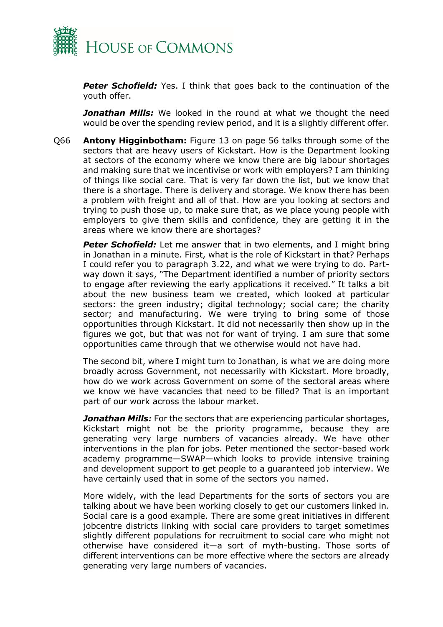

**Peter Schofield:** Yes. I think that goes back to the continuation of the youth offer.

*Jonathan Mills:* We looked in the round at what we thought the need would be over the spending review period, and it is a slightly different offer.

Q66 **Antony Higginbotham:** Figure 13 on page 56 talks through some of the sectors that are heavy users of Kickstart. How is the Department looking at sectors of the economy where we know there are big labour shortages and making sure that we incentivise or work with employers? I am thinking of things like social care. That is very far down the list, but we know that there is a shortage. There is delivery and storage. We know there has been a problem with freight and all of that. How are you looking at sectors and trying to push those up, to make sure that, as we place young people with employers to give them skills and confidence, they are getting it in the areas where we know there are shortages?

*Peter Schofield:* Let me answer that in two elements, and I might bring in Jonathan in a minute. First, what is the role of Kickstart in that? Perhaps I could refer you to paragraph 3.22, and what we were trying to do. Partway down it says, "The Department identified a number of priority sectors to engage after reviewing the early applications it received." It talks a bit about the new business team we created, which looked at particular sectors: the green industry; digital technology; social care; the charity sector; and manufacturing. We were trying to bring some of those opportunities through Kickstart. It did not necessarily then show up in the figures we got, but that was not for want of trying. I am sure that some opportunities came through that we otherwise would not have had.

The second bit, where I might turn to Jonathan, is what we are doing more broadly across Government, not necessarily with Kickstart. More broadly, how do we work across Government on some of the sectoral areas where we know we have vacancies that need to be filled? That is an important part of our work across the labour market.

*Jonathan Mills:* For the sectors that are experiencing particular shortages, Kickstart might not be the priority programme, because they are generating very large numbers of vacancies already. We have other interventions in the plan for jobs. Peter mentioned the sector-based work academy programme—SWAP—which looks to provide intensive training and development support to get people to a guaranteed job interview. We have certainly used that in some of the sectors you named.

More widely, with the lead Departments for the sorts of sectors you are talking about we have been working closely to get our customers linked in. Social care is a good example. There are some great initiatives in different jobcentre districts linking with social care providers to target sometimes slightly different populations for recruitment to social care who might not otherwise have considered it—a sort of myth-busting. Those sorts of different interventions can be more effective where the sectors are already generating very large numbers of vacancies.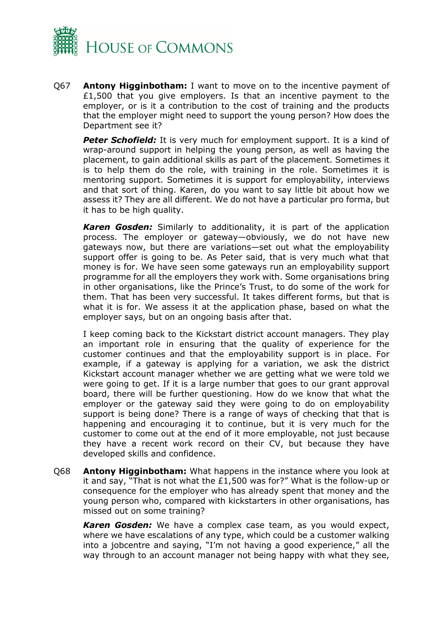

Q67 **Antony Higginbotham:** I want to move on to the incentive payment of £1,500 that you give employers. Is that an incentive payment to the employer, or is it a contribution to the cost of training and the products that the employer might need to support the young person? How does the Department see it?

**Peter Schofield:** It is very much for employment support. It is a kind of wrap-around support in helping the young person, as well as having the placement, to gain additional skills as part of the placement. Sometimes it is to help them do the role, with training in the role. Sometimes it is mentoring support. Sometimes it is support for employability, interviews and that sort of thing. Karen, do you want to say little bit about how we assess it? They are all different. We do not have a particular pro forma, but it has to be high quality.

*Karen Gosden:* Similarly to additionality, it is part of the application process. The employer or gateway—obviously, we do not have new gateways now, but there are variations—set out what the employability support offer is going to be. As Peter said, that is very much what that money is for. We have seen some gateways run an employability support programme for all the employers they work with. Some organisations bring in other organisations, like the Prince's Trust, to do some of the work for them. That has been very successful. It takes different forms, but that is what it is for. We assess it at the application phase, based on what the employer says, but on an ongoing basis after that.

I keep coming back to the Kickstart district account managers. They play an important role in ensuring that the quality of experience for the customer continues and that the employability support is in place. For example, if a gateway is applying for a variation, we ask the district Kickstart account manager whether we are getting what we were told we were going to get. If it is a large number that goes to our grant approval board, there will be further questioning. How do we know that what the employer or the gateway said they were going to do on employability support is being done? There is a range of ways of checking that that is happening and encouraging it to continue, but it is very much for the customer to come out at the end of it more employable, not just because they have a recent work record on their CV, but because they have developed skills and confidence.

Q68 **Antony Higginbotham:** What happens in the instance where you look at it and say, "That is not what the £1,500 was for?" What is the follow-up or consequence for the employer who has already spent that money and the young person who, compared with kickstarters in other organisations, has missed out on some training?

*Karen Gosden:* We have a complex case team, as you would expect, where we have escalations of any type, which could be a customer walking into a jobcentre and saying, "I'm not having a good experience," all the way through to an account manager not being happy with what they see,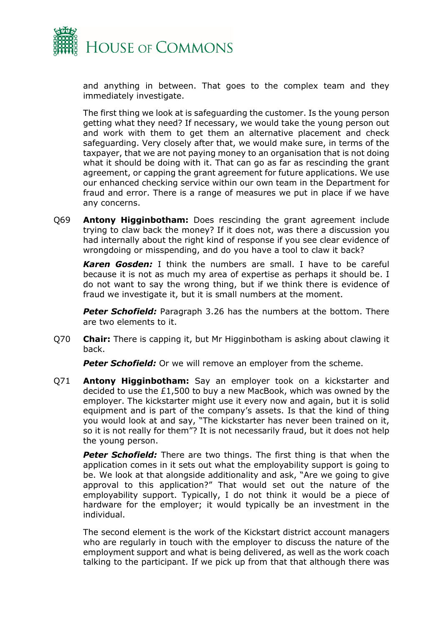

and anything in between. That goes to the complex team and they immediately investigate.

The first thing we look at is safeguarding the customer. Is the young person getting what they need? If necessary, we would take the young person out and work with them to get them an alternative placement and check safeguarding. Very closely after that, we would make sure, in terms of the taxpayer, that we are not paying money to an organisation that is not doing what it should be doing with it. That can go as far as rescinding the grant agreement, or capping the grant agreement for future applications. We use our enhanced checking service within our own team in the Department for fraud and error. There is a range of measures we put in place if we have any concerns.

Q69 **Antony Higginbotham:** Does rescinding the grant agreement include trying to claw back the money? If it does not, was there a discussion you had internally about the right kind of response if you see clear evidence of wrongdoing or misspending, and do you have a tool to claw it back?

*Karen Gosden:* I think the numbers are small. I have to be careful because it is not as much my area of expertise as perhaps it should be. I do not want to say the wrong thing, but if we think there is evidence of fraud we investigate it, but it is small numbers at the moment.

**Peter Schofield:** Paragraph 3.26 has the numbers at the bottom. There are two elements to it.

Q70 **Chair:** There is capping it, but Mr Higginbotham is asking about clawing it back.

**Peter Schofield:** Or we will remove an employer from the scheme.

Q71 **Antony Higginbotham:** Say an employer took on a kickstarter and decided to use the  $£1,500$  to buy a new MacBook, which was owned by the employer. The kickstarter might use it every now and again, but it is solid equipment and is part of the company's assets. Is that the kind of thing you would look at and say, "The kickstarter has never been trained on it, so it is not really for them"? It is not necessarily fraud, but it does not help the young person.

*Peter Schofield:* There are two things. The first thing is that when the application comes in it sets out what the employability support is going to be. We look at that alongside additionality and ask, "Are we going to give approval to this application?" That would set out the nature of the employability support. Typically, I do not think it would be a piece of hardware for the employer; it would typically be an investment in the individual.

The second element is the work of the Kickstart district account managers who are regularly in touch with the employer to discuss the nature of the employment support and what is being delivered, as well as the work coach talking to the participant. If we pick up from that that although there was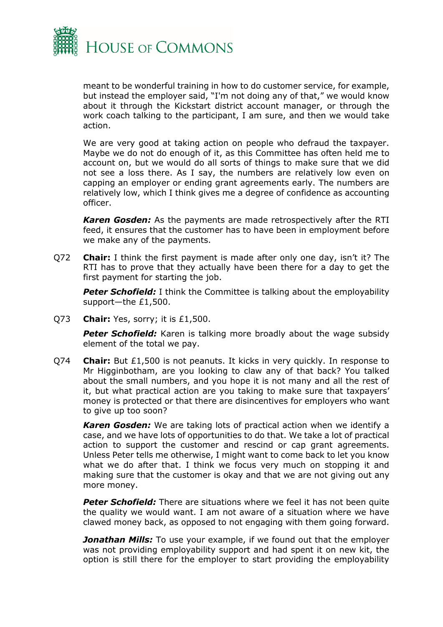

meant to be wonderful training in how to do customer service, for example, but instead the employer said, "I'm not doing any of that," we would know about it through the Kickstart district account manager, or through the work coach talking to the participant, I am sure, and then we would take action.

We are very good at taking action on people who defraud the taxpayer. Maybe we do not do enough of it, as this Committee has often held me to account on, but we would do all sorts of things to make sure that we did not see a loss there. As I say, the numbers are relatively low even on capping an employer or ending grant agreements early. The numbers are relatively low, which I think gives me a degree of confidence as accounting officer.

*Karen Gosden:* As the payments are made retrospectively after the RTI feed, it ensures that the customer has to have been in employment before we make any of the payments.

Q72 **Chair:** I think the first payment is made after only one day, isn't it? The RTI has to prove that they actually have been there for a day to get the first payment for starting the job.

**Peter Schofield:** I think the Committee is talking about the employability support—the £1,500.

Q73 **Chair:** Yes, sorry; it is £1,500.

**Peter Schofield:** Karen is talking more broadly about the wage subsidy element of the total we pay.

Q74 **Chair:** But £1,500 is not peanuts. It kicks in very quickly. In response to Mr Higginbotham, are you looking to claw any of that back? You talked about the small numbers, and you hope it is not many and all the rest of it, but what practical action are you taking to make sure that taxpayers' money is protected or that there are disincentives for employers who want to give up too soon?

*Karen Gosden:* We are taking lots of practical action when we identify a case, and we have lots of opportunities to do that. We take a lot of practical action to support the customer and rescind or cap grant agreements. Unless Peter tells me otherwise, I might want to come back to let you know what we do after that. I think we focus very much on stopping it and making sure that the customer is okay and that we are not giving out any more money.

*Peter Schofield:* There are situations where we feel it has not been quite the quality we would want. I am not aware of a situation where we have clawed money back, as opposed to not engaging with them going forward.

*Jonathan Mills:* To use your example, if we found out that the employer was not providing employability support and had spent it on new kit, the option is still there for the employer to start providing the employability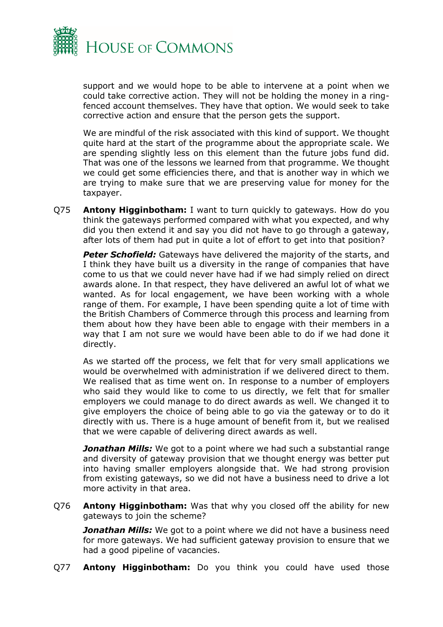

support and we would hope to be able to intervene at a point when we could take corrective action. They will not be holding the money in a ringfenced account themselves. They have that option. We would seek to take corrective action and ensure that the person gets the support.

We are mindful of the risk associated with this kind of support. We thought quite hard at the start of the programme about the appropriate scale. We are spending slightly less on this element than the future jobs fund did. That was one of the lessons we learned from that programme. We thought we could get some efficiencies there, and that is another way in which we are trying to make sure that we are preserving value for money for the taxpayer.

Q75 **Antony Higginbotham:** I want to turn quickly to gateways. How do you think the gateways performed compared with what you expected, and why did you then extend it and say you did not have to go through a gateway, after lots of them had put in quite a lot of effort to get into that position?

**Peter Schofield:** Gateways have delivered the majority of the starts, and I think they have built us a diversity in the range of companies that have come to us that we could never have had if we had simply relied on direct awards alone. In that respect, they have delivered an awful lot of what we wanted. As for local engagement, we have been working with a whole range of them. For example, I have been spending quite a lot of time with the British Chambers of Commerce through this process and learning from them about how they have been able to engage with their members in a way that I am not sure we would have been able to do if we had done it directly.

As we started off the process, we felt that for very small applications we would be overwhelmed with administration if we delivered direct to them. We realised that as time went on. In response to a number of employers who said they would like to come to us directly, we felt that for smaller employers we could manage to do direct awards as well. We changed it to give employers the choice of being able to go via the gateway or to do it directly with us. There is a huge amount of benefit from it, but we realised that we were capable of delivering direct awards as well.

**Jonathan Mills:** We got to a point where we had such a substantial range and diversity of gateway provision that we thought energy was better put into having smaller employers alongside that. We had strong provision from existing gateways, so we did not have a business need to drive a lot more activity in that area.

Q76 **Antony Higginbotham:** Was that why you closed off the ability for new gateways to join the scheme?

*Jonathan Mills:* We got to a point where we did not have a business need for more gateways. We had sufficient gateway provision to ensure that we had a good pipeline of vacancies.

Q77 **Antony Higginbotham:** Do you think you could have used those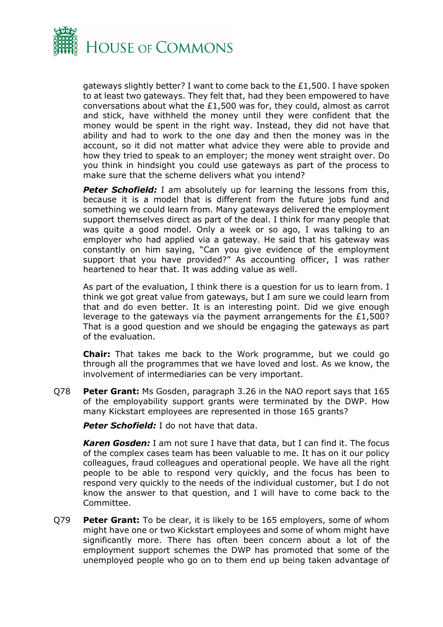

gateways slightly better? I want to come back to the £1,500. I have spoken to at least two gateways. They felt that, had they been empowered to have conversations about what the £1,500 was for, they could, almost as carrot and stick, have withheld the money until they were confident that the money would be spent in the right way. Instead, they did not have that ability and had to work to the one day and then the money was in the account, so it did not matter what advice they were able to provide and how they tried to speak to an employer; the money went straight over. Do you think in hindsight you could use gateways as part of the process to make sure that the scheme delivers what you intend?

**Peter Schofield:** I am absolutely up for learning the lessons from this, because it is a model that is different from the future jobs fund and something we could learn from. Many gateways delivered the employment support themselves direct as part of the deal. I think for many people that was quite a good model. Only a week or so ago, I was talking to an employer who had applied via a gateway. He said that his gateway was constantly on him saying, "Can you give evidence of the employment support that you have provided?" As accounting officer, I was rather heartened to hear that. It was adding value as well.

As part of the evaluation, I think there is a question for us to learn from. I think we got great value from gateways, but I am sure we could learn from that and do even better. It is an interesting point. Did we give enough leverage to the gateways via the payment arrangements for the £1,500? That is a good question and we should be engaging the gateways as part of the evaluation.

**Chair:** That takes me back to the Work programme, but we could go through all the programmes that we have loved and lost. As we know, the involvement of intermediaries can be very important.

Q78 **Peter Grant:** Ms Gosden, paragraph 3.26 in the NAO report says that 165 of the employability support grants were terminated by the DWP. How many Kickstart employees are represented in those 165 grants?

**Peter Schofield:** I do not have that data.

*Karen Gosden:* I am not sure I have that data, but I can find it. The focus of the complex cases team has been valuable to me. It has on it our policy colleagues, fraud colleagues and operational people. We have all the right people to be able to respond very quickly, and the focus has been to respond very quickly to the needs of the individual customer, but I do not know the answer to that question, and I will have to come back to the Committee.

Q79 **Peter Grant:** To be clear, it is likely to be 165 employers, some of whom might have one or two Kickstart employees and some of whom might have significantly more. There has often been concern about a lot of the employment support schemes the DWP has promoted that some of the unemployed people who go on to them end up being taken advantage of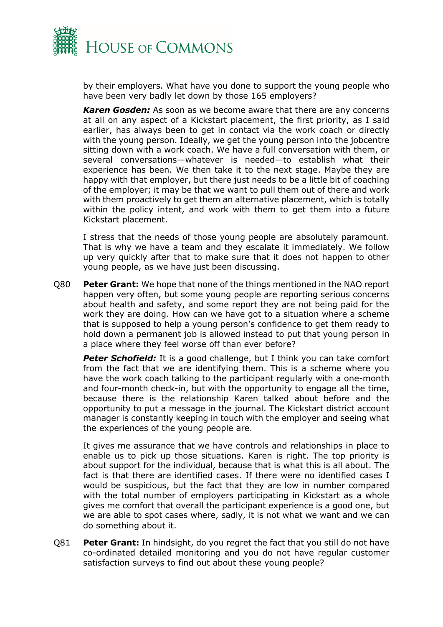

by their employers. What have you done to support the young people who have been very badly let down by those 165 employers?

*Karen Gosden:* As soon as we become aware that there are any concerns at all on any aspect of a Kickstart placement, the first priority, as I said earlier, has always been to get in contact via the work coach or directly with the young person. Ideally, we get the young person into the jobcentre sitting down with a work coach. We have a full conversation with them, or several conversations—whatever is needed—to establish what their experience has been. We then take it to the next stage. Maybe they are happy with that employer, but there just needs to be a little bit of coaching of the employer; it may be that we want to pull them out of there and work with them proactively to get them an alternative placement, which is totally within the policy intent, and work with them to get them into a future Kickstart placement.

I stress that the needs of those young people are absolutely paramount. That is why we have a team and they escalate it immediately. We follow up very quickly after that to make sure that it does not happen to other young people, as we have just been discussing.

Q80 **Peter Grant:** We hope that none of the things mentioned in the NAO report happen very often, but some young people are reporting serious concerns about health and safety, and some report they are not being paid for the work they are doing. How can we have got to a situation where a scheme that is supposed to help a young person's confidence to get them ready to hold down a permanent job is allowed instead to put that young person in a place where they feel worse off than ever before?

**Peter Schofield:** It is a good challenge, but I think you can take comfort from the fact that we are identifying them. This is a scheme where you have the work coach talking to the participant regularly with a one-month and four-month check-in, but with the opportunity to engage all the time, because there is the relationship Karen talked about before and the opportunity to put a message in the journal. The Kickstart district account manager is constantly keeping in touch with the employer and seeing what the experiences of the young people are.

It gives me assurance that we have controls and relationships in place to enable us to pick up those situations. Karen is right. The top priority is about support for the individual, because that is what this is all about. The fact is that there are identified cases. If there were no identified cases I would be suspicious, but the fact that they are low in number compared with the total number of employers participating in Kickstart as a whole gives me comfort that overall the participant experience is a good one, but we are able to spot cases where, sadly, it is not what we want and we can do something about it.

Q81 **Peter Grant:** In hindsight, do you regret the fact that you still do not have co-ordinated detailed monitoring and you do not have regular customer satisfaction surveys to find out about these young people?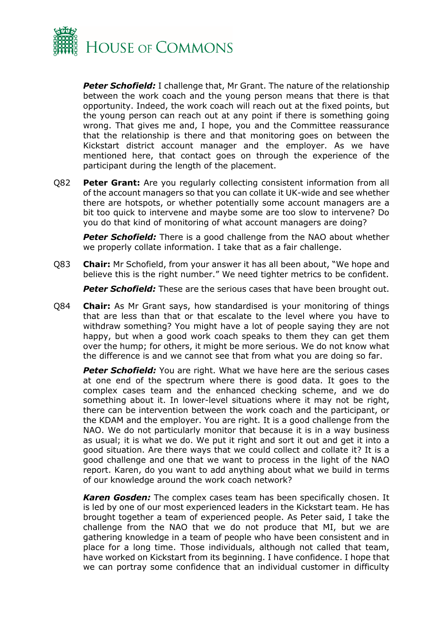

**Peter Schofield:** I challenge that, Mr Grant. The nature of the relationship between the work coach and the young person means that there is that opportunity. Indeed, the work coach will reach out at the fixed points, but the young person can reach out at any point if there is something going wrong. That gives me and, I hope, you and the Committee reassurance that the relationship is there and that monitoring goes on between the Kickstart district account manager and the employer. As we have mentioned here, that contact goes on through the experience of the participant during the length of the placement.

Q82 **Peter Grant:** Are you regularly collecting consistent information from all of the account managers so that you can collate it UK-wide and see whether there are hotspots, or whether potentially some account managers are a bit too quick to intervene and maybe some are too slow to intervene? Do you do that kind of monitoring of what account managers are doing?

**Peter Schofield:** There is a good challenge from the NAO about whether we properly collate information. I take that as a fair challenge.

Q83 **Chair:** Mr Schofield, from your answer it has all been about, "We hope and believe this is the right number." We need tighter metrics to be confident.

*Peter Schofield:* These are the serious cases that have been brought out.

Q84 **Chair:** As Mr Grant says, how standardised is your monitoring of things that are less than that or that escalate to the level where you have to withdraw something? You might have a lot of people saying they are not happy, but when a good work coach speaks to them they can get them over the hump; for others, it might be more serious. We do not know what the difference is and we cannot see that from what you are doing so far.

**Peter Schofield:** You are right. What we have here are the serious cases at one end of the spectrum where there is good data. It goes to the complex cases team and the enhanced checking scheme, and we do something about it. In lower-level situations where it may not be right, there can be intervention between the work coach and the participant, or the KDAM and the employer. You are right. It is a good challenge from the NAO. We do not particularly monitor that because it is in a way business as usual; it is what we do. We put it right and sort it out and get it into a good situation. Are there ways that we could collect and collate it? It is a good challenge and one that we want to process in the light of the NAO report. Karen, do you want to add anything about what we build in terms of our knowledge around the work coach network?

*Karen Gosden:* The complex cases team has been specifically chosen. It is led by one of our most experienced leaders in the Kickstart team. He has brought together a team of experienced people. As Peter said, I take the challenge from the NAO that we do not produce that MI, but we are gathering knowledge in a team of people who have been consistent and in place for a long time. Those individuals, although not called that team, have worked on Kickstart from its beginning. I have confidence. I hope that we can portray some confidence that an individual customer in difficulty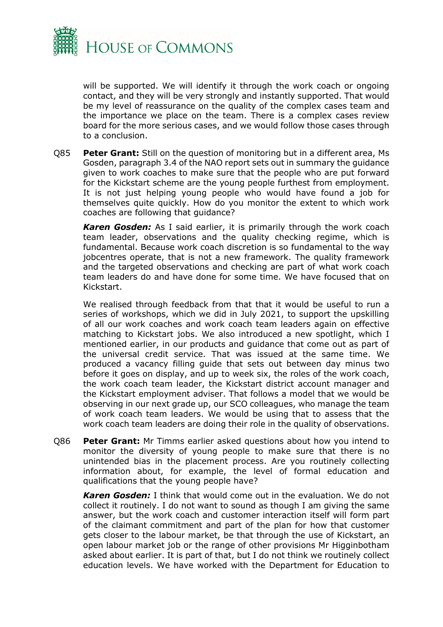

will be supported. We will identify it through the work coach or ongoing contact, and they will be very strongly and instantly supported. That would be my level of reassurance on the quality of the complex cases team and the importance we place on the team. There is a complex cases review board for the more serious cases, and we would follow those cases through to a conclusion.

Q85 **Peter Grant:** Still on the question of monitoring but in a different area, Ms Gosden, paragraph 3.4 of the NAO report sets out in summary the guidance given to work coaches to make sure that the people who are put forward for the Kickstart scheme are the young people furthest from employment. It is not just helping young people who would have found a job for themselves quite quickly. How do you monitor the extent to which work coaches are following that guidance?

*Karen Gosden:* As I said earlier, it is primarily through the work coach team leader, observations and the quality checking regime, which is fundamental. Because work coach discretion is so fundamental to the way jobcentres operate, that is not a new framework. The quality framework and the targeted observations and checking are part of what work coach team leaders do and have done for some time. We have focused that on Kickstart.

We realised through feedback from that that it would be useful to run a series of workshops, which we did in July 2021, to support the upskilling of all our work coaches and work coach team leaders again on effective matching to Kickstart jobs. We also introduced a new spotlight, which I mentioned earlier, in our products and guidance that come out as part of the universal credit service. That was issued at the same time. We produced a vacancy filling guide that sets out between day minus two before it goes on display, and up to week six, the roles of the work coach, the work coach team leader, the Kickstart district account manager and the Kickstart employment adviser. That follows a model that we would be observing in our next grade up, our SCO colleagues, who manage the team of work coach team leaders. We would be using that to assess that the work coach team leaders are doing their role in the quality of observations.

Q86 **Peter Grant:** Mr Timms earlier asked questions about how you intend to monitor the diversity of young people to make sure that there is no unintended bias in the placement process. Are you routinely collecting information about, for example, the level of formal education and qualifications that the young people have?

*Karen Gosden:* I think that would come out in the evaluation. We do not collect it routinely. I do not want to sound as though I am giving the same answer, but the work coach and customer interaction itself will form part of the claimant commitment and part of the plan for how that customer gets closer to the labour market, be that through the use of Kickstart, an open labour market job or the range of other provisions Mr Higginbotham asked about earlier. It is part of that, but I do not think we routinely collect education levels. We have worked with the Department for Education to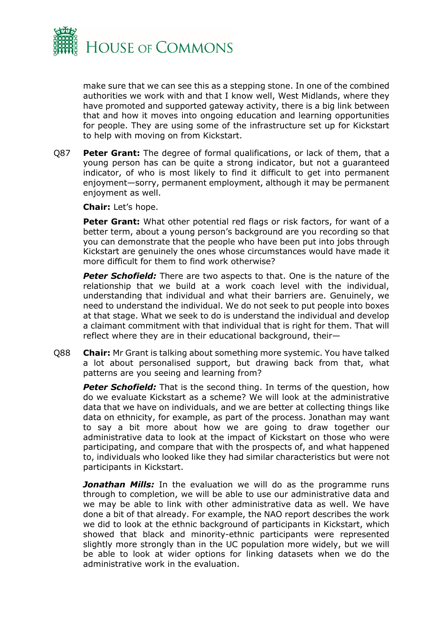

make sure that we can see this as a stepping stone. In one of the combined authorities we work with and that I know well, West Midlands, where they have promoted and supported gateway activity, there is a big link between that and how it moves into ongoing education and learning opportunities for people. They are using some of the infrastructure set up for Kickstart to help with moving on from Kickstart.

Q87 **Peter Grant:** The degree of formal qualifications, or lack of them, that a young person has can be quite a strong indicator, but not a guaranteed indicator, of who is most likely to find it difficult to get into permanent enjoyment—sorry, permanent employment, although it may be permanent enjoyment as well.

**Chair:** Let's hope.

**Peter Grant:** What other potential red flags or risk factors, for want of a better term, about a young person's background are you recording so that you can demonstrate that the people who have been put into jobs through Kickstart are genuinely the ones whose circumstances would have made it more difficult for them to find work otherwise?

*Peter Schofield:* There are two aspects to that. One is the nature of the relationship that we build at a work coach level with the individual, understanding that individual and what their barriers are. Genuinely, we need to understand the individual. We do not seek to put people into boxes at that stage. What we seek to do is understand the individual and develop a claimant commitment with that individual that is right for them. That will reflect where they are in their educational background, their—

Q88 **Chair:** Mr Grant is talking about something more systemic. You have talked a lot about personalised support, but drawing back from that, what patterns are you seeing and learning from?

**Peter Schofield:** That is the second thing. In terms of the question, how do we evaluate Kickstart as a scheme? We will look at the administrative data that we have on individuals, and we are better at collecting things like data on ethnicity, for example, as part of the process. Jonathan may want to say a bit more about how we are going to draw together our administrative data to look at the impact of Kickstart on those who were participating, and compare that with the prospects of, and what happened to, individuals who looked like they had similar characteristics but were not participants in Kickstart.

**Jonathan Mills:** In the evaluation we will do as the programme runs through to completion, we will be able to use our administrative data and we may be able to link with other administrative data as well. We have done a bit of that already. For example, the NAO report describes the work we did to look at the ethnic background of participants in Kickstart, which showed that black and minority-ethnic participants were represented slightly more strongly than in the UC population more widely, but we will be able to look at wider options for linking datasets when we do the administrative work in the evaluation.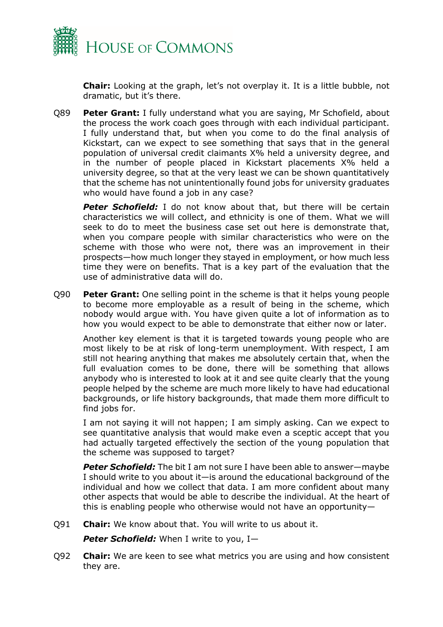

**Chair:** Looking at the graph, let's not overplay it. It is a little bubble, not dramatic, but it's there.

Q89 **Peter Grant:** I fully understand what you are saying, Mr Schofield, about the process the work coach goes through with each individual participant. I fully understand that, but when you come to do the final analysis of Kickstart, can we expect to see something that says that in the general population of universal credit claimants X% held a university degree, and in the number of people placed in Kickstart placements X% held a university degree, so that at the very least we can be shown quantitatively that the scheme has not unintentionally found jobs for university graduates who would have found a job in any case?

**Peter Schofield:** I do not know about that, but there will be certain characteristics we will collect, and ethnicity is one of them. What we will seek to do to meet the business case set out here is demonstrate that, when you compare people with similar characteristics who were on the scheme with those who were not, there was an improvement in their prospects—how much longer they stayed in employment, or how much less time they were on benefits. That is a key part of the evaluation that the use of administrative data will do.

Q90 **Peter Grant:** One selling point in the scheme is that it helps young people to become more employable as a result of being in the scheme, which nobody would argue with. You have given quite a lot of information as to how you would expect to be able to demonstrate that either now or later.

Another key element is that it is targeted towards young people who are most likely to be at risk of long-term unemployment. With respect, I am still not hearing anything that makes me absolutely certain that, when the full evaluation comes to be done, there will be something that allows anybody who is interested to look at it and see quite clearly that the young people helped by the scheme are much more likely to have had educational backgrounds, or life history backgrounds, that made them more difficult to find jobs for.

I am not saying it will not happen; I am simply asking. Can we expect to see quantitative analysis that would make even a sceptic accept that you had actually targeted effectively the section of the young population that the scheme was supposed to target?

*Peter Schofield:* The bit I am not sure I have been able to answer—maybe I should write to you about it—is around the educational background of the individual and how we collect that data. I am more confident about many other aspects that would be able to describe the individual. At the heart of this is enabling people who otherwise would not have an opportunity—

Q91 **Chair:** We know about that. You will write to us about it.

Peter Schofield: When I write to you, I-

Q92 **Chair:** We are keen to see what metrics you are using and how consistent they are.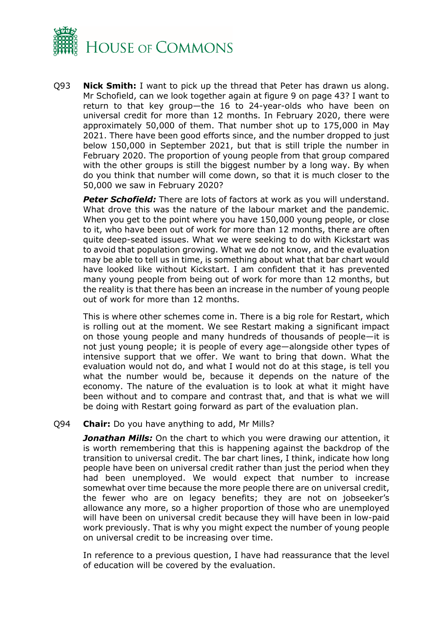

Q93 **Nick Smith:** I want to pick up the thread that Peter has drawn us along. Mr Schofield, can we look together again at figure 9 on page 43? I want to return to that key group—the 16 to 24-year-olds who have been on universal credit for more than 12 months. In February 2020, there were approximately 50,000 of them. That number shot up to 175,000 in May 2021. There have been good efforts since, and the number dropped to just below 150,000 in September 2021, but that is still triple the number in February 2020. The proportion of young people from that group compared with the other groups is still the biggest number by a long way. By when do you think that number will come down, so that it is much closer to the 50,000 we saw in February 2020?

**Peter Schofield:** There are lots of factors at work as you will understand. What drove this was the nature of the labour market and the pandemic. When you get to the point where you have 150,000 young people, or close to it, who have been out of work for more than 12 months, there are often quite deep-seated issues. What we were seeking to do with Kickstart was to avoid that population growing. What we do not know, and the evaluation may be able to tell us in time, is something about what that bar chart would have looked like without Kickstart. I am confident that it has prevented many young people from being out of work for more than 12 months, but the reality is that there has been an increase in the number of young people out of work for more than 12 months.

This is where other schemes come in. There is a big role for Restart, which is rolling out at the moment. We see Restart making a significant impact on those young people and many hundreds of thousands of people—it is not just young people; it is people of every age—alongside other types of intensive support that we offer. We want to bring that down. What the evaluation would not do, and what I would not do at this stage, is tell you what the number would be, because it depends on the nature of the economy. The nature of the evaluation is to look at what it might have been without and to compare and contrast that, and that is what we will be doing with Restart going forward as part of the evaluation plan.

#### Q94 **Chair:** Do you have anything to add, Mr Mills?

*Jonathan Mills:* On the chart to which you were drawing our attention, it is worth remembering that this is happening against the backdrop of the transition to universal credit. The bar chart lines, I think, indicate how long people have been on universal credit rather than just the period when they had been unemployed. We would expect that number to increase somewhat over time because the more people there are on universal credit, the fewer who are on legacy benefits; they are not on jobseeker's allowance any more, so a higher proportion of those who are unemployed will have been on universal credit because they will have been in low-paid work previously. That is why you might expect the number of young people on universal credit to be increasing over time.

In reference to a previous question, I have had reassurance that the level of education will be covered by the evaluation.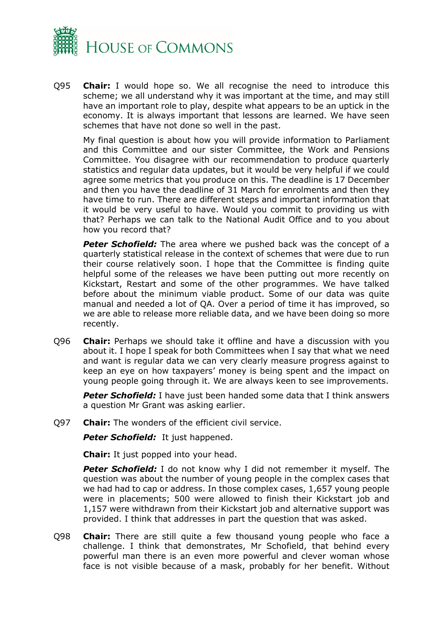

Q95 **Chair:** I would hope so. We all recognise the need to introduce this scheme; we all understand why it was important at the time, and may still have an important role to play, despite what appears to be an uptick in the economy. It is always important that lessons are learned. We have seen schemes that have not done so well in the past.

My final question is about how you will provide information to Parliament and this Committee and our sister Committee, the Work and Pensions Committee. You disagree with our recommendation to produce quarterly statistics and regular data updates, but it would be very helpful if we could agree some metrics that you produce on this. The deadline is 17 December and then you have the deadline of 31 March for enrolments and then they have time to run. There are different steps and important information that it would be very useful to have. Would you commit to providing us with that? Perhaps we can talk to the National Audit Office and to you about how you record that?

**Peter Schofield:** The area where we pushed back was the concept of a quarterly statistical release in the context of schemes that were due to run their course relatively soon. I hope that the Committee is finding quite helpful some of the releases we have been putting out more recently on Kickstart, Restart and some of the other programmes. We have talked before about the minimum viable product. Some of our data was quite manual and needed a lot of QA. Over a period of time it has improved, so we are able to release more reliable data, and we have been doing so more recently.

Q96 **Chair:** Perhaps we should take it offline and have a discussion with you about it. I hope I speak for both Committees when I say that what we need and want is regular data we can very clearly measure progress against to keep an eye on how taxpayers' money is being spent and the impact on young people going through it. We are always keen to see improvements.

*Peter Schofield:* I have just been handed some data that I think answers a question Mr Grant was asking earlier.

Q97 **Chair:** The wonders of the efficient civil service.

**Peter Schofield:** It just happened.

**Chair:** It just popped into your head.

**Peter Schofield:** I do not know why I did not remember it myself. The question was about the number of young people in the complex cases that we had had to cap or address. In those complex cases, 1,657 young people were in placements; 500 were allowed to finish their Kickstart job and 1,157 were withdrawn from their Kickstart job and alternative support was provided. I think that addresses in part the question that was asked.

Q98 **Chair:** There are still quite a few thousand young people who face a challenge. I think that demonstrates, Mr Schofield, that behind every powerful man there is an even more powerful and clever woman whose face is not visible because of a mask, probably for her benefit. Without